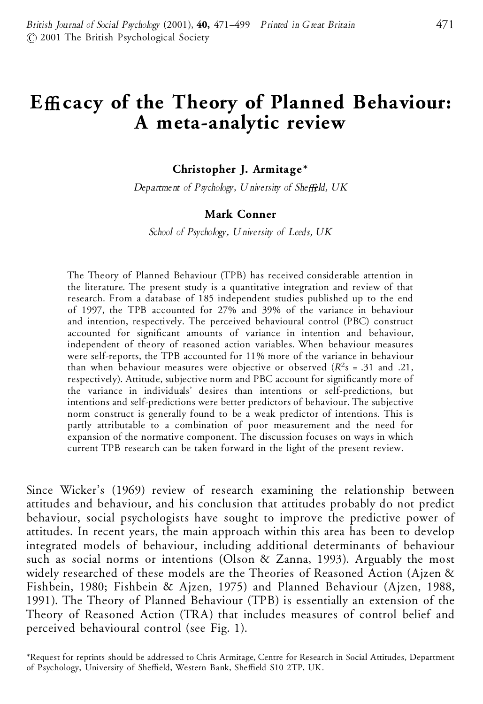# **EYcacy of the Theory of Planned Behaviour: A meta-analytic review**

**Christopher J. Armitage\***

*Department of Psychology, University of SheYeld, UK*

#### **Mark Conner**

*School of Psychology, University of Leeds, UK*

The Theory of Planned Behaviour (TPB) has received considerable attention in the literature. The present study is a quantitative integration and review of that research. From a database of 185 independent studies published up to the end of 1997, the TPB accounted for 27% and 39% of the variance in behaviour and intention, respectively. The perceived behavioural control (PBC) construct accounted for significant amounts of variance in intention and behaviour, independent of theory of reasoned action variables. When behaviour measures were self-reports, the TPB accounted for 11% more of the variance in behaviour than when behaviour measures were objective or observed  $(R<sup>2</sup>s = .31$  and .21, respectively). Attitude, subjective norm and PBC account for significantly more of the variance in individuals' desires than intentions or self-predictions, but intentions and self-predictions were better predictors of behaviour. The subjective norm construct is generally found to be a weak predictor of intentions. This is partly attributable to a combination of poor measurement and the need for expansion of the normative component. The discussion focuses on ways in which current TPB research can be taken forward in the light of the present review.

Since Wicker's (1969) review of research examining the relationship between attitudes and behaviour, and his conclusion that attitudes probably do not predict behaviour, social psychologists have sought to improve the predictive power of attitudes. In recent years, the main approach within this area has been to develop integrated models of behaviour, including additional determinants of behaviour such as social norms or intentions (Olson & Zanna, 1993). Arguably the most widely researched of these models are the Theories of Reasoned Action (Ajzen & Fishbein, 1980; Fishbein & Ajzen, 1975) and Planned Behaviour (Ajzen, 1988, 1991). The Theory of Planned Behaviour (TPB) is essentially an extension of the Theory of Reasoned Action (TRA) that includes measures of control belief and perceived behavioural control (see Fig. 1).

\*Request for reprints should be addressed to Chris Armitage, Centre for Research in Social Attitudes, Department of Psychology, University of Sheffield, Western Bank, Sheffield S10 2TP, UK.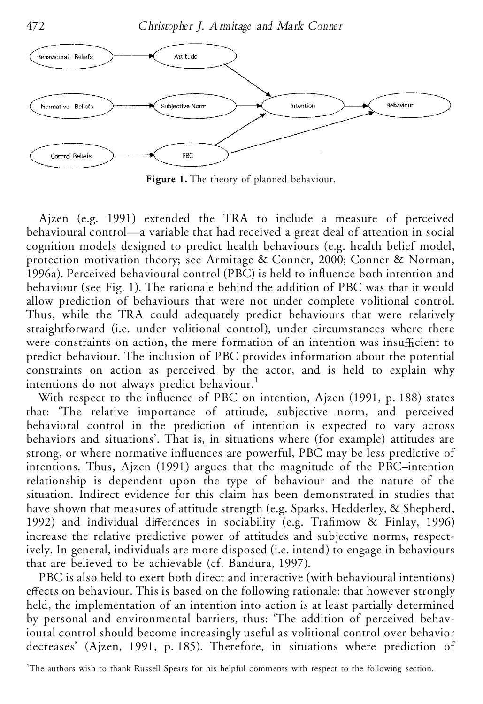472 *Christopher J. Armitage and Mark Conner*



**Figure 1.** The theory of planned behaviour.

Ajzen (e.g. 1991) extended the TRA to include a measure of perceived behavioural control—a variable that had received a great deal of attention in social cognition models designed to predict health behaviours (e.g. health belief model, protection motivation theory; see Armitage & Conner, 2000; Conner & Norman, 1996a). Perceived behavioural control (PBC) is held to influence both intention and behaviour (see Fig. 1). The rationale behind the addition of PBC was that it would allow prediction of behaviours that were not under complete volitional control. Thus, while the TRA could adequately predict behaviours that were relatively straightforward (i.e. under volitional control), under circumstances where there were constraints on action, the mere formation of an intention was insufficient to predict behaviour. The inclusion of PBC provides information about the potential constraints on action as perceived by the actor, and is held to explain why intentions do not always predict behaviour.<sup>1</sup>

With respect to the influence of PBC on intention, Ajzen (1991, p. 188) states that: 'The relative importance of attitude, subjective norm, and perceived behavioral control in the prediction of intention is expected to vary across behaviors and situations'. That is, in situations where (for example) attitudes are strong, or where normative influences are powerful, PBC may be less predictive of intentions. Thus, Ajzen (1991) argues that the magnitude of the PBC–intention relationship is dependent upon the type of behaviour and the nature of the situation. Indirect evidence for this claim has been demonstrated in studies that have shown that measures of attitude strength (e.g. Sparks, Hedderley, & Shepherd, 1992) and individual differences in sociability (e.g. Trafimow & Finlay, 1996) increase the relative predictive power of attitudes and subjective norms, respectively. In general, individuals are more disposed (i.e. intend) to engage in behaviours that are believed to be achievable (cf. Bandura, 1997).

PBC is also held to exert both direct and interactive (with behavioural intentions) effects on behaviour. This is based on the following rationale: that however strongly held, the implementation of an intention into action is at least partially determined by personal and environmental barriers, thus: 'The addition of perceived behavioural control should become increasingly useful as volitional control over behavior decreases' (Ajzen, 1991, p. 185). Therefore, in situations where prediction of

<sup>1</sup>The authors wish to thank Russell Spears for his helpful comments with respect to the following section.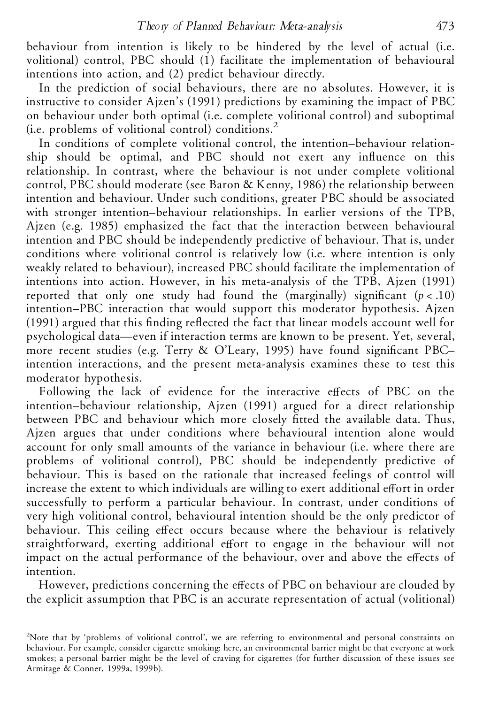behaviour from intention is likely to be hindered by the level of actual (i.e. volitional) control, PBC should (1) facilitate the implementation of behavioural intentions into action, and (2) predict behaviour directly.

In the prediction of social behaviours, there are no absolutes. However, it is instructive to consider Ajzen's (1991) predictions by examining the impact of PBC on behaviour under both optimal (i.e. complete volitional control) and suboptimal (i.e. problems of volitional control) conditions.<sup>2</sup>

In conditions of complete volitional control, the intention–behaviour relationship should be optimal, and PBC should not exert any influence on this relationship. In contrast, where the behaviour is not under complete volitional control, PBC should moderate (see Baron & Kenny, 1986) the relationship between intention and behaviour. Under such conditions, greater PBC should be associated with stronger intention–behaviour relationships. In earlier versions of the TPB, Ajzen (e.g. 1985) emphasized the fact that the interaction between behavioural intention and PBC should be independently predictive of behaviour. That is, under conditions where volitional control is relatively low (i.e. where intention is only weakly related to behaviour), increased PBC should facilitate the implementation of intentions into action. However, in his meta-analysis of the TPB, Ajzen (1991) reported that only one study had found the (marginally) significant  $(p < .10)$ intention–PBC interaction that would support this moderator hypothesis. Ajzen  $(1991)$  argued that this finding reflected the fact that linear models account well for psychological data—even if interaction terms are known to be present. Yet, several, more recent studies (e.g. Terry & O'Leary, 1995) have found significant PBC– intention interactions, and the present meta-analysis examines these to test this moderator hypothesis.

Following the lack of evidence for the interactive effects of PBC on the intention–behaviour relationship, Ajzen (1991) argued for a direct relationship between PBC and behaviour which more closely fitted the available data. Thus, Ajzen argues that under conditions where behavioural intention alone would account for only small amounts of the variance in behaviour (i.e. where there are problems of volitional control), PBC should be independently predictive of behaviour. This is based on the rationale that increased feelings of control will increase the extent to which individuals are willing to exert additional effort in order successfully to perform a particular behaviour. In contrast, under conditions of very high volitional control, behavioural intention should be the only predictor of behaviour. This ceiling effect occurs because where the behaviour is relatively straightforward, exerting additional effort to engage in the behaviour will not impact on the actual performance of the behaviour, over and above the effects of intention.

However, predictions concerning the effects of PBC on behaviour are clouded by the explicit assumption that PBC is an accurate representation of actual (volitional)

<sup>2</sup>Note that by 'problems of volitional control', we are referring to environmental and personal constraints on behaviour. For example, consider cigarette smoking: here, an environmental barrier might be that everyone at work smokes; a personal barrier might be the level of craving for cigarettes (for further discussion of these issues see Armitage & Conner, 1999a, 1999b).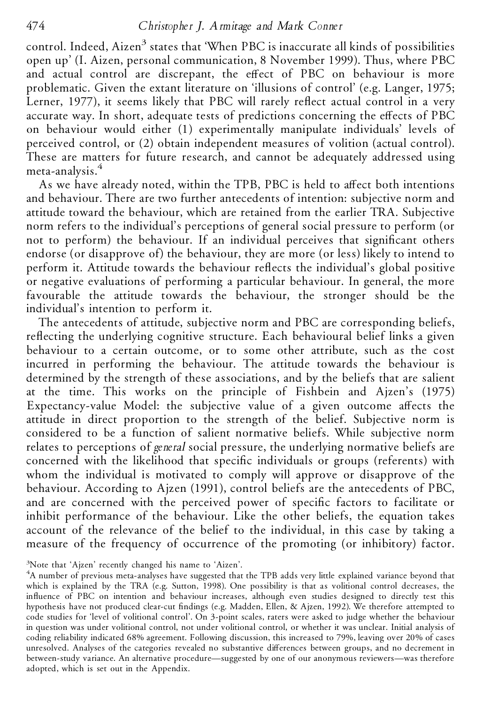control. Indeed, Aizen<sup>3</sup> states that 'When PBC is inaccurate all kinds of possibilities open up' (I. Aizen, personal communication, 8 November 1999). Thus, where PBC and actual control are discrepant, the effect of PBC on behaviour is more problematic. Given the extant literature on 'illusions of control' (e.g. Langer, 1975; Lerner, 1977), it seems likely that PBC will rarely reflect actual control in a very accurate way. In short, adequate tests of predictions concerning the effects of PBC on behaviour would either (1) experimentally manipulate individuals' levels of perceived control, or (2) obtain independent measures of volition (actual control). These are matters for future research, and cannot be adequately addressed using meta-analysis.<sup>4</sup>

As we have already noted, within the TPB, PBC is held to affect both intentions and behaviour. There are two further antecedents of intention: subjective norm and attitude toward the behaviour, which are retained from the earlier TRA. Subjective norm refers to the individual's perceptions of general social pressure to perform (or not to perform) the behaviour. If an individual perceives that significant others endorse (or disapprove of) the behaviour, they are more (or less) likely to intend to perform it. Attitude towards the behaviour reflects the individual's global positive or negative evaluations of performing a particular behaviour. In general, the more favourable the attitude towards the behaviour, the stronger should be the individual's intention to perform it.

The antecedents of attitude, subjective norm and PBC are corresponding beliefs, reflecting the underlying cognitive structure. Each behavioural belief links a given behaviour to a certain outcome, or to some other attribute, such as the cost incurred in performing the behaviour. The attitude towards the behaviour is determined by the strength of these associations, and by the beliefs that are salient at the time. This works on the principle of Fishbein and Ajzen's (1975) Expectancy-value Model: the subjective value of a given outcome affects the attitude in direct proportion to the strength of the belief. Subjective norm is considered to be a function of salient normative beliefs. While subjective norm relates to perceptions of *general* social pressure, the underlying normative beliefs are concerned with the likelihood that specific individuals or groups (referents) with whom the individual is motivated to comply will approve or disapprove of the behaviour. According to Ajzen (1991), control beliefs are the antecedents of PBC, and are concerned with the perceived power of specific factors to facilitate or inhibit performance of the behaviour. Like the other beliefs, the equation takes account of the relevance of the belief to the individual, in this case by taking a measure of the frequency of occurrence of the promoting (or inhibitory) factor.

 $3$ Note that 'Ajzen' recently changed his name to 'Aizen'.<br> $4$ A number of previous meta-analyses have suggested that the TPB adds very little explained variance beyond that which is explained by the TRA (e.g. Sutton, 1998). One possibility is that as volitional control decreases, the influence of PBC on intention and behaviour increases, although even studies designed to directly test this hypothesis have not produced clear-cut ndings (e.g. Madden, Ellen, & Ajzen, 1992). We therefore attempted to code studies for 'level of volitional control'. On 3-point scales, raters were asked to judge whether the behaviour in question was under volitional control, not under volitional control, or whether it was unclear. Initial analysis of coding reliability indicated 68% agreement. Following discussion, this increased to 79%, leaving over 20% of cases unresolved. Analyses of the categories revealed no substantive differences between groups, and no decrement in between-study variance. An alternative procedure—suggested by one of our anonymous reviewers—was therefore adopted, which is set out in the Appendix.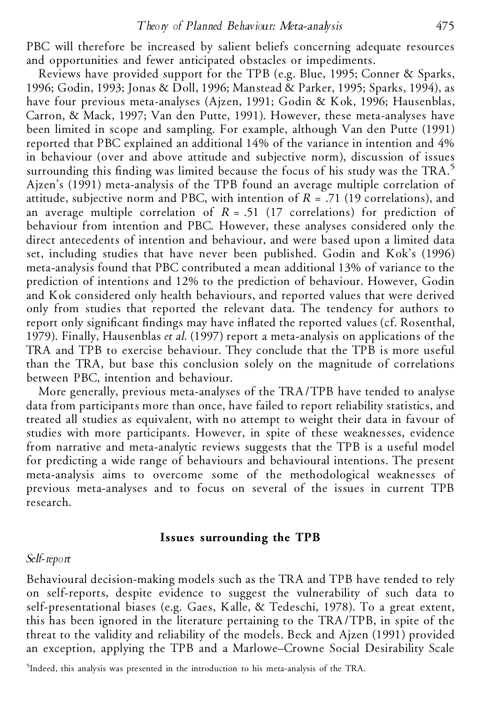PBC will therefore be increased by salient beliefs concerning adequate resources and opportunities and fewer anticipated obstacles or impediments.

Reviews have provided support for the TPB (e.g. Blue, 1995; Conner & Sparks, 1996; Godin, 1993; Jonas & Doll, 1996; Manstead & Parker, 1995; Sparks, 1994), as have four previous meta-analyses (Ajzen, 1991; Godin & Kok, 1996; Hausenblas, Carron, & Mack, 1997; Van den Putte, 1991). However, these meta-analyses have been limited in scope and sampling. For example, although Van den Putte (1991) reported that PBC explained an additional 14% of the variance in intention and 4% in behaviour (over and above attitude and subjective norm), discussion of issues surrounding this finding was limited because the focus of his study was the  $TRA<sup>5</sup>$ Ajzen's (1991) meta-analysis of the TPB found an average multiple correlation of attitude, subjective norm and PBC, with intention of *R* = .71 (19 correlations), and an average multiple correlation of  $R = .51$  (17 correlations) for prediction of behaviour from intention and PBC. However, these analyses considered only the direct antecedents of intention and behaviour, and were based upon a limited data set, including studies that have never been published. Godin and Kok's (1996) meta-analysis found that PBC contributed a mean additional 13% of variance to the prediction of intentions and 12% to the prediction of behaviour. However, Godin and Kok considered only health behaviours, and reported values that were derived only from studies that reported the relevant data. The tendency for authors to report only significant findings may have inflated the reported values (cf. Rosenthal, 1979). Finally, Hausenblas *et al*. (1997) report a meta-analysis on applications of the TRA and TPB to exercise behaviour. They conclude that the TPB is more useful than the TRA, but base this conclusion solely on the magnitude of correlations between PBC, intention and behaviour.

More generally, previous meta-analyses of the TRA/TPB have tended to analyse data from participants more than once, have failed to report reliability statistics, and treated all studies as equivalent, with no attempt to weight their data in favour of studies with more participants. However, in spite of these weaknesses, evidence from narrative and meta-analytic reviews suggests that the TPB is a useful model for predicting a wide range of behaviours and behavioural intentions. The present meta-analysis aims to overcome some of the methodological weaknesses of previous meta-analyses and to focus on several of the issues in current TPB research.

### **Issues surrounding the TPB**

#### *Self-report*

Behavioural decision-making models such as the TRA and TPB have tended to rely on self-reports, despite evidence to suggest the vulnerability of such data to self-presentational biases (e.g. Gaes, Kalle, & Tedeschi, 1978). To a great extent, this has been ignored in the literature pertaining to the TRA/TPB, in spite of the threat to the validity and reliability of the models. Beck and Ajzen (1991) provided an exception, applying the TPB and a Marlowe–Crowne Social Desirability Scale

<sup>5</sup>Indeed, this analysis was presented in the introduction to his meta-analysis of the TRA.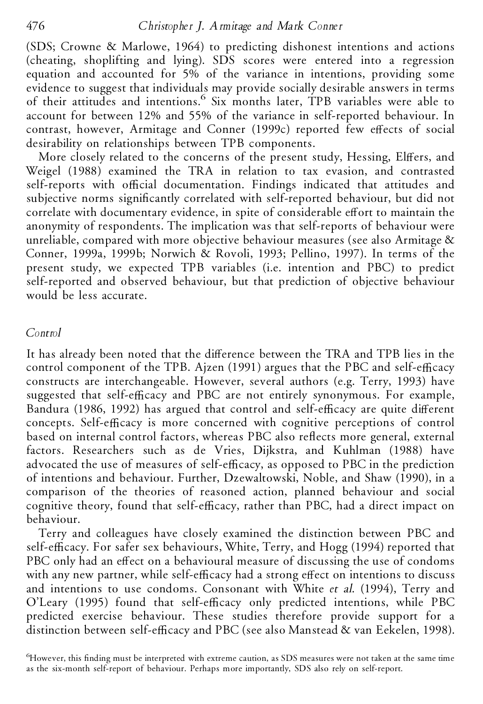# 476 *Christopher J. Armitage and Mark Conner*

(SDS; Crowne & Marlowe, 1964) to predicting dishonest intentions and actions (cheating, shoplifting and lying). SDS scores were entered into a regression equation and accounted for 5% of the variance in intentions, providing some evidence to suggest that individuals may provide socially desirable answers in terms of their attitudes and intentions. <sup>6</sup> Six months later, TPB variables were able to account for between 12% and 55% of the variance in self-reported behaviour. In contrast, however, Armitage and Conner (1999c) reported few effects of social desirability on relationships between TPB components.

More closely related to the concerns of the present study, Hessing, Elffers, and Weigel (1988) examined the TRA in relation to tax evasion, and contrasted self-reports with official documentation. Findings indicated that attitudes and subjective norms significantly correlated with self-reported behaviour, but did not correlate with documentary evidence, in spite of considerable effort to maintain the anonymity of respondents. The implication was that self-reports of behaviour were unreliable, compared with more objective behaviour measures (see also Armitage & Conner, 1999a, 1999b; Norwich & Rovoli, 1993; Pellino, 1997). In terms of the present study, we expected TPB variables (i.e. intention and PBC) to predict self-reported and observed behaviour, but that prediction of objective behaviour would be less accurate.

### *Control*

It has already been noted that the difference between the TRA and TPB lies in the control component of the TPB. Ajzen (1991) argues that the PBC and self-efficacy constructs are interchangeable. However, several authors (e.g. Terry, 1993) have suggested that self-efficacy and PBC are not entirely synonymous. For example, Bandura (1986, 1992) has argued that control and self-efficacy are quite different concepts. Self-efficacy is more concerned with cognitive perceptions of control based on internal control factors, whereas PBC also reflects more general, external factors. Researchers such as de Vries, Dijkstra, and Kuhlman (1988) have advocated the use of measures of self-efficacy, as opposed to PBC in the prediction of intentions and behaviour. Further, Dzewaltowski, Noble, and Shaw (1990), in a comparison of the theories of reasoned action, planned behaviour and social cognitive theory, found that self-efficacy, rather than PBC, had a direct impact on behaviour.

Terry and colleagues have closely examined the distinction between PBC and self-efficacy. For safer sex behaviours, White, Terry, and Hogg (1994) reported that PBC only had an effect on a behavioural measure of discussing the use of condoms with any new partner, while self-efficacy had a strong effect on intentions to discuss and intentions to use condoms. Consonant with White *et al*. (1994), Terry and O'Leary (1995) found that self-efficacy only predicted intentions, while PBC predicted exercise behaviour. These studies therefore provide support for a distinction between self-efficacy and PBC (see also Manstead & van Eekelen, 1998).

 $6$ However, this finding must be interpreted with extreme caution, as SDS measures were not taken at the same time as the six-month self-report of behaviour. Perhaps more importantly, SDS also rely on self-report.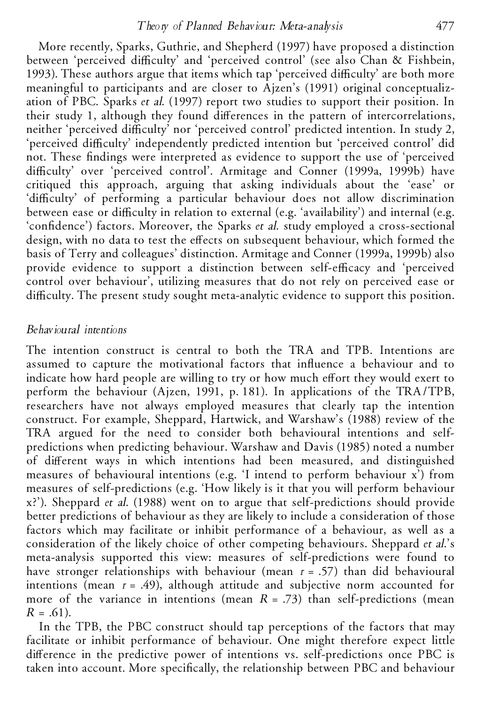More recently, Sparks, Guthrie, and Shepherd (1997) have proposed a distinction between 'perceived difficulty' and 'perceived control' (see also Chan & Fishbein, 1993). These authors argue that items which tap 'perceived difficulty' are both more meaningful to participants and are closer to Ajzen's (1991) original conceptualization of PBC. Sparks *et al*. (1997) report two studies to support their position. In their study 1, although they found differences in the pattern of intercorrelations, neither 'perceived difficulty' nor 'perceived control' predicted intention. In study 2, 'perceived difficulty' independently predicted intention but 'perceived control' did not. These findings were interpreted as evidence to support the use of 'perceived difficulty' over 'perceived control'. Armitage and Conner (1999a, 1999b) have critiqued this approach, arguing that asking individuals about the 'ease' or 'difficulty' of performing a particular behaviour does not allow discrimination between ease or difficulty in relation to external (e.g. 'availability') and internal (e.g. 'confidence') factors. Moreover, the Sparks *et al.* study employed a cross-sectional design, with no data to test the effects on subsequent behaviour, which formed the basis of Terry and colleagues' distinction. Armitage and Conner (1999a, 1999b) also provide evidence to support a distinction between self-efficacy and 'perceived control over behaviour', utilizing measures that do not rely on perceived ease or difficulty. The present study sought meta-analytic evidence to support this position.

# *Behavioural intentions*

The intention construct is central to both the TRA and TPB. Intentions are assumed to capture the motivational factors that influence a behaviour and to indicate how hard people are willing to try or how much effort they would exert to perform the behaviour (Ajzen, 1991, p. 181). In applications of the TRA/TPB, researchers have not always employed measures that clearly tap the intention construct. For example, Sheppard, Hartwick, and Warshaw's (1988) review of the TRA argued for the need to consider both behavioural intentions and selfpredictions when predicting behaviour. Warshaw and Davis (1985) noted a number of different ways in which intentions had been measured, and distinguished measures of behavioural intentions (e.g. 'I intend to perform behaviour x') from measures of self-predictions (e.g. 'How likely is it that you will perform behaviour x?'). Sheppard *et al*. (1988) went on to argue that self-predictions should provide better predictions of behaviour as they are likely to include a consideration of those factors which may facilitate or inhibit performance of a behaviour, as well as a consideration of the likely choice of other competing behaviours. Sheppard *et al*.'s meta-analysis supported this view: measures of self-predictions were found to have stronger relationships with behaviour (mean *r* = .57) than did behavioural intentions (mean  $r = .49$ ), although attitude and subjective norm accounted for more of the variance in intentions (mean  $R = .73$ ) than self-predictions (mean  $R = .61$ ).

In the TPB, the PBC construct should tap perceptions of the factors that may facilitate or inhibit performance of behaviour. One might therefore expect little difference in the predictive power of intentions vs. self-predictions once PBC is taken into account. More specifically, the relationship between PBC and behaviour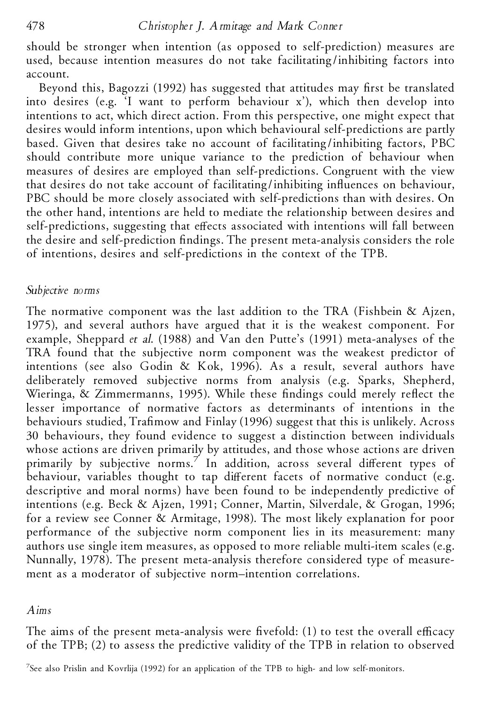should be stronger when intention (as opposed to self-prediction) measures are used, because intention measures do not take facilitating/inhibiting factors into account.

Beyond this, Bagozzi (1992) has suggested that attitudes may first be translated into desires (e.g. 'I want to perform behaviour x'), which then develop into intentions to act, which direct action. From this perspective, one might expect that desires would inform intentions, upon which behavioural self-predictions are partly based. Given that desires take no account of facilitating/inhibiting factors, PBC should contribute more unique variance to the prediction of behaviour when measures of desires are employed than self-predictions. Congruent with the view that desires do not take account of facilitating/inhibiting influences on behaviour, PBC should be more closely associated with self-predictions than with desires. On the other hand, intentions are held to mediate the relationship between desires and self-predictions, suggesting that effects associated with intentions will fall between the desire and self-prediction findings. The present meta-analysis considers the role of intentions, desires and self-predictions in the context of the TPB.

# *Subjective norms*

The normative component was the last addition to the TRA (Fishbein & Ajzen, 1975), and several authors have argued that it is the weakest component. For example, Sheppard *et al*. (1988) and Van den Putte's (1991) meta-analyses of the TRA found that the subjective norm component was the weakest predictor of intentions (see also Godin & Kok, 1996). As a result, several authors have deliberately removed subjective norms from analysis (e.g. Sparks, Shepherd, Wieringa,  $\&$  Zimmermanns, 1995). While these findings could merely reflect the lesser importance of normative factors as determinants of intentions in the behaviours studied, Trafimow and Finlay (1996) suggest that this is unlikely. Across 30 behaviours, they found evidence to suggest a distinction between individuals whose actions are driven primarily by attitudes, and those whose actions are driven primarily by subjective norms.<sup>7</sup> In addition, across several different types of behaviour, variables thought to tap different facets of normative conduct (e.g. descriptive and moral norms) have been found to be independently predictive of intentions (e.g. Beck & Ajzen, 1991; Conner, Martin, Silverdale, & Grogan, 1996; for a review see Conner & Armitage, 1998). The most likely explanation for poor performance of the subjective norm component lies in its measurement: many authors use single item measures, as opposed to more reliable multi-item scales (e.g. Nunnally, 1978). The present meta-analysis therefore considered type of measurement as a moderator of subjective norm–intention correlations.

# *Aims*

The aims of the present meta-analysis were fivefold:  $(1)$  to test the overall efficacy of the TPB; (2) to assess the predictive validity of the TPB in relation to observed

<sup>7</sup>See also Prislin and Kovrlija (1992) for an application of the TPB to high- and low self-monitors.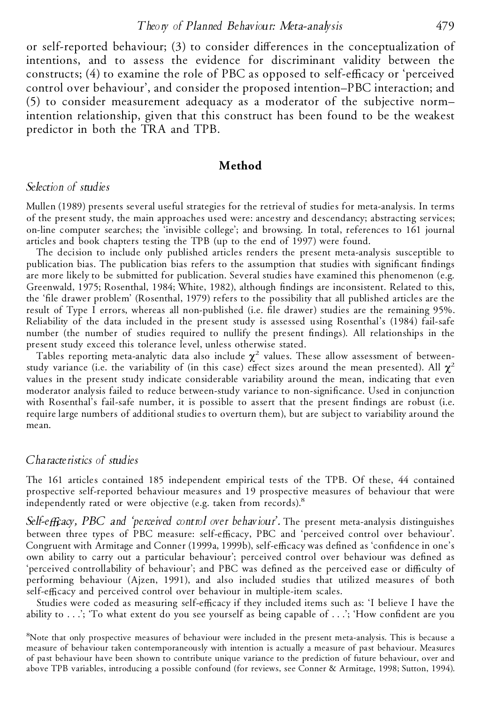#### *Theory of Planned Behaviour: Meta-analysis* 479

or self-reported behaviour;  $(3)$  to consider differences in the conceptualization of intentions, and to assess the evidence for discriminant validity between the constructs;  $(4)$  to examine the role of PBC as opposed to self-efficacy or 'perceived control over behaviour', and consider the proposed intention–PBC interaction; and (5) to consider measurement adequacy as a moderator of the subjective norm– intention relationship, given that this construct has been found to be the weakest predictor in both the TRA and TPB.

## **Method**

## *Selection of studies*

Mullen (1989) presents several useful strategies for the retrieval of studies for meta-analysis. In terms of the present study, the main approaches used were: ancestry and descendancy; abstracting services; on-line computer searches; the 'invisible college'; and browsing. In total, references to 161 journal articles and book chapters testing the TPB (up to the end of 1997) were found.

The decision to include only published articles renders the present meta-analysis susceptible to publication bias. The publication bias refers to the assumption that studies with significant findings are more likely to be submitted for publication. Several studies have examined this phenomenon (e.g. Greenwald, 1975; Rosenthal, 1984; White, 1982), although findings are inconsistent. Related to this, the 'file drawer problem' (Rosenthal, 1979) refers to the possibility that all published articles are the result of Type I errors, whereas all non-published (i.e. file drawer) studies are the remaining 95%. Reliability of the data included in the present study is assessed using Rosenthal's (1984) fail-safe number (the number of studies required to nullify the present ndings). All relationships in the present study exceed this tolerance level, unless otherwise stated.

Tables reporting meta-analytic data also include  $\chi^2$  values. These allow assessment of betweenstudy variance (i.e. the variability of (in this case) effect sizes around the mean presented). All  $\chi^2$ values in the present study indicate considerable variability around the mean, indicating that even moderator analysis failed to reduce between-study variance to non-significance. Used in conjunction with Rosenthal's fail-safe number, it is possible to assert that the present findings are robust (i.e. require large numbers of additional studies to overturn them), but are subject to variability around the mean.

# *Characteristics of studies*

The 161 articles contained 185 independent empirical tests of the TPB. Of these, 44 contained prospective self-reported behaviour measures and 19 prospective measures of behaviour that were independently rated or were objective (e.g. taken from records).<sup>8</sup>

*Self-eYcacy, PBC and 'perceived control over behaviour'.* The present meta-analysis distinguishes between three types of PBC measure: self-efficacy, PBC and 'perceived control over behaviour'. Congruent with Armitage and Conner (1999a, 1999b), self-efficacy was defined as 'confidence in one's own ability to carry out a particular behaviour'; perceived control over behaviour was defined as 'perceived controllability of behaviour'; and PBC was defined as the perceived ease or difficulty of performing behaviour (Ajzen, 1991), and also included studies that utilized measures of both self-efficacy and perceived control over behaviour in multiple-item scales.

Studies were coded as measuring self-efficacy if they included items such as: 'I believe I have the ability to  $\ldots$ ; 'To what extent do you see yourself as being capable of  $\ldots$ ; 'How confident are you

<sup>8</sup>Note that only prospective measures of behaviour were included in the present meta-analysis. This is because a measure of behaviour taken contemporaneously with intention is actually a measure of past behaviour. Measures of past behaviour have been shown to contribute unique variance to the prediction of future behaviour, over and above TPB variables, introducing a possible confound (for reviews, see Conner & Armitage, 1998; Sutton, 1994).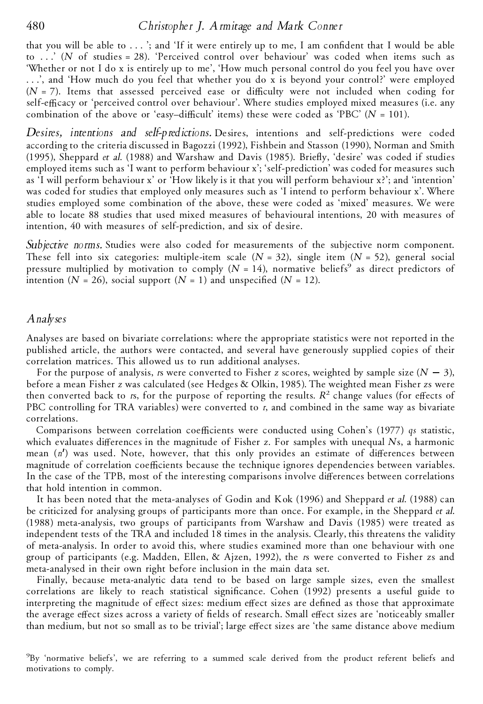that you will be able to  $\dots$ ; and 'If it were entirely up to me, I am confident that I would be able to . . .' (*N* of studies = 28). 'Perceived control over behaviour' was coded when items such as 'Whether or not I do x is entirely up to me', 'How much personal control do you feel you have over . . .', and 'How much do you feel that whether you do x is beyond your control?' were employed  $(N = 7)$ . Items that assessed perceived ease or difficulty were not included when coding for self-efficacy or 'perceived control over behaviour'. Where studies employed mixed measures (i.e. any combination of the above or 'easy-difficult' items) these were coded as 'PBC'  $(N = 101)$ .

*Desires, intentions and self-predictions.* Desires, intentions and self-predictions were coded according to the criteria discussed in Bagozzi (1992), Fishbein and Stasson (1990), Norman and Smith (1995), Sheppard *et al.* (1988) and Warshaw and Davis (1985). Briefly, 'desire' was coded if studies employed items such as 'I want to perform behaviour x'; 'self-prediction' was coded for measures such as 'I will perform behaviour x' or 'How likely is it that you will perform behaviour x?'; and 'intention' was coded for studies that employed only measures such as 'I intend to perform behaviour x'. Where studies employed some combination of the above, these were coded as 'mixed' measures. We were able to locate 88 studies that used mixed measures of behavioural intentions, 20 with measures of intention, 40 with measures of self-prediction, and six of desire.

*Subjective norms.* Studies were also coded for measurements of the subjective norm component. These fell into six categories: multiple-item scale  $(N = 32)$ , single item  $(N = 52)$ , general social pressure multiplied by motivation to comply  $(N = 14)$ , normative beliefs<sup>9</sup> as direct predictors of intention  $(N = 26)$ , social support  $(N = 1)$  and unspecified  $(N = 12)$ .

#### *Analyses*

Analyses are based on bivariate correlations: where the appropriate statistics were not reported in the published article, the authors were contacted, and several have generously supplied copies of their correlation matrices. This allowed us to run additional analyses.

For the purpose of analysis, *rs* were converted to Fisher *z* scores, weighted by sample size  $(N - 3)$ , before a mean Fisher *z* was calculated (see Hedges & Olkin, 1985). The weighted mean Fisher *z*s were then converted back to *rs*, for the purpose of reporting the results.  $R^2$  change values (for effects of PBC controlling for TRA variables) were converted to *r*, and combined in the same way as bivariate correlations.

Comparisons between correlation coefficients were conducted using Cohen's (1977) *qs* statistic, which evaluates differences in the magnitude of Fisher *z*. For samples with unequal *Ns*, a harmonic mean (n') was used. Note, however, that this only provides an estimate of differences between magnitude of correlation coefficients because the technique ignores dependencies between variables. In the case of the TPB, most of the interesting comparisons involve differences between correlations that hold intention in common.

It has been noted that the meta-analyses of Godin and Kok (1996) and Sheppard *et al*. (1988) can be criticized for analysing groups of participants more than once. For example, in the Sheppard *et al*. (1988) meta-analysis, two groups of participants from Warshaw and Davis (1985) were treated as independent tests of the TRA and included 18 times in the analysis. Clearly, this threatens the validity of meta-analysis. In order to avoid this, where studies examined more than one behaviour with one group of participants (e.g. Madden, Ellen, & Ajzen, 1992), the *r*s were converted to Fisher *z*s and meta-analysed in their own right before inclusion in the main data set.

Finally, because meta-analytic data tend to be based on large sample sizes, even the smallest correlations are likely to reach statistical significance. Cohen (1992) presents a useful guide to interpreting the magnitude of effect sizes: medium effect sizes are defined as those that approximate the average effect sizes across a variety of fields of research. Small effect sizes are 'noticeably smaller than medium, but not so small as to be trivial'; large effect sizes are 'the same distance above medium

<sup>9</sup>By 'normative beliefs', we are referring to a summed scale derived from the product referent beliefs and motivations to comply.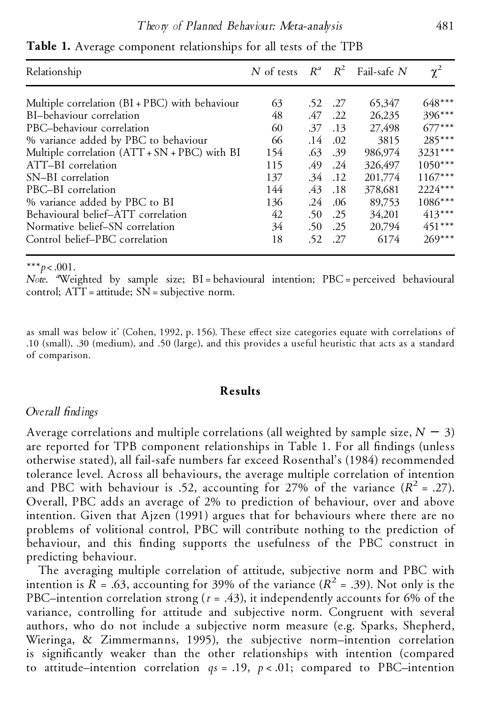| Relationship                                     |     |     |             | N of tests $R^a$ $R^2$ Fail-safe N | $\chi^2$  |
|--------------------------------------------------|-----|-----|-------------|------------------------------------|-----------|
| Multiple correlation $(BI + PBC)$ with behaviour | 63  | .52 | .27         | 65,347                             | $648***$  |
| BI-behaviour correlation                         | 48  | .47 | .22         | 26,235                             | $396***$  |
| PBC-behaviour correlation                        | 60  | .37 | .13         | 27,498                             | $677***$  |
| % variance added by PBC to behaviour             | 66  | .14 | .02         | 3815                               | 285***    |
| Multiple correlation (ATT + SN + PBC) with BI    | 154 | .63 | .39         | 986,974                            | $3231***$ |
| ATT-BI correlation                               | 115 | .49 | .24         | 326,497                            | $1050***$ |
| SN-BI correlation                                | 137 | .34 | $\cdot$ .12 | 201,774                            | $1167***$ |
| PBC-BI correlation                               | 144 | .43 | .18         | 378,681                            | 2224***   |
| % variance added by PBC to BI                    | 136 | .24 | .06         | 89,753                             | $1086***$ |
| Behavioural belief-ATT correlation               | 42  | .50 | .25         | 34,201                             | $413***$  |
| Normative belief-SN correlation                  | 34  | .50 | .25         | 20,794                             | $451***$  |
| Control belief-PBC correlation                   | 18  | .52 | .27         | 6174                               | $269***$  |

**Table 1.** Average component relationships for all tests of the TPB

\*\*\**p*<.001.

*Note.* <sup>*a*</sup>Weighted by sample size; BI=behavioural intention; PBC=perceived behavioural control; ATT = attitude; SN = subjective norm.

as small was below it' (Cohen, 1992, p. 156). These effect size categories equate with correlations of .10 (small), .30 (medium), and .50 (large), and this provides a useful heuristic that acts as a standard of comparison.

# **Results**

# *Overall ndings*

Average correlations and multiple correlations (all weighted by sample size,  $N = 3$ ) are reported for TPB component relationships in Table 1. For all findings (unless otherwise stated), all fail-safe numbers far exceed Rosenthal's (1984) recommended tolerance level. Across all behaviours, the average multiple correlation of intention and PBC with behaviour is .52, accounting for 27% of the variance  $(R^2 = .27)$ . Overall, PBC adds an average of 2% to prediction of behaviour, over and above intention. Given that Ajzen (1991) argues that for behaviours where there are no problems of volitional control, PBC will contribute nothing to the prediction of behaviour, and this finding supports the usefulness of the PBC construct in predicting behaviour.

The averaging multiple correlation of attitude, subjective norm and PBC with intention is  $R = .63$ , accounting for 39% of the variance ( $R^2 = .39$ ). Not only is the PBC–intention correlation strong  $(r = .43)$ , it independently accounts for 6% of the variance, controlling for attitude and subjective norm. Congruent with several authors, who do not include a subjective norm measure (e.g. Sparks, Shepherd, Wieringa, & Zimmermanns, 1995), the subjective norm–intention correlation is significantly weaker than the other relationships with intention (compared to attitude–intention correlation  $qs = .19$ ,  $p < .01$ ; compared to PBC–intention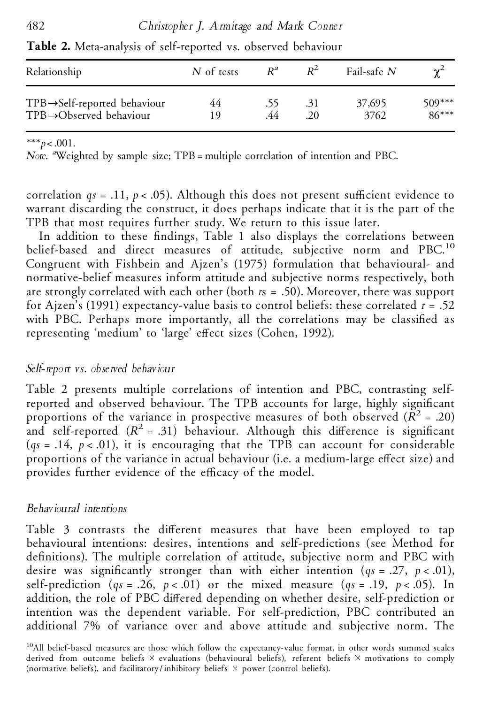| Relationship                              | N of tests | $R^a$ | $R^2$ | Fail-safe $N$ | $\chi^2$ |
|-------------------------------------------|------------|-------|-------|---------------|----------|
| $TPB \rightarrow Self-reported behaviour$ | 44         | .55   | .31   | 37,695        | $509***$ |
| $TPB \rightarrow Observed behaviour$      | 19         | .44   | .20   | 3762          | $86***$  |

**Table 2.** Meta-analysis of self-reported vs. observed behaviour

## \*\*\**p*<.001.

*Note. a*Weighted by sample size; TPB = multiple correlation of intention and PBC.

correlation  $qs = .11$ ,  $p < .05$ ). Although this does not present sufficient evidence to warrant discarding the construct, it does perhaps indicate that it is the part of the TPB that most requires further study. We return to this issue later.

In addition to these findings, Table 1 also displays the correlations between belief-based and direct measures of attitude, subjective norm and PBC.<sup>10</sup> Congruent with Fishbein and Ajzen's (1975) formulation that behavioural- and normative-belief measures inform attitude and subjective norms respectively, both are strongly correlated with each other (both *r*s = .50). Moreover, there was support for Ajzen's (1991) expectancy-value basis to control beliefs: these correlated *r*= .52 with PBC. Perhaps more importantly, all the correlations may be classified as representing 'medium' to 'large' effect sizes (Cohen, 1992).

# *Self-report vs. observed behaviour*

Table 2 presents multiple correlations of intention and PBC, contrasting selfreported and observed behaviour. The TPB accounts for large, highly significant proportions of the variance in prospective measures of both observed  $(R^2 = .20)$ and self-reported  $(R^2 = .31)$  behaviour. Although this difference is significant  $(q_s = .14, p < .01)$ , it is encouraging that the TPB can account for considerable proportions of the variance in actual behaviour (i.e. a medium-large effect size) and provides further evidence of the efficacy of the model.

# *Behavioural intentions*

Table 3 contrasts the different measures that have been employed to tap behavioural intentions: desires, intentions and self-predictions (see Method for definitions). The multiple correlation of attitude, subjective norm and PBC with desire was significantly stronger than with either intention  $(qs = .27, p < .01)$ , self-prediction  $(qs = .26, p < .01)$  or the mixed measure  $(qs = .19, p < .05)$ . In addition, the role of PBC differed depending on whether desire, self-prediction or intention was the dependent variable. For self-prediction, PBC contributed an additional 7% of variance over and above attitude and subjective norm. The

<sup>&</sup>lt;sup>10</sup>All belief-based measures are those which follow the expectancy-value format, in other words summed scales derived from outcome beliefs  $\times$  evaluations (behavioural beliefs), referent beliefs  $\times$  motivations to comply (normative beliefs), and facilitatory/inhibitory beliefs  $\times$  power (control beliefs).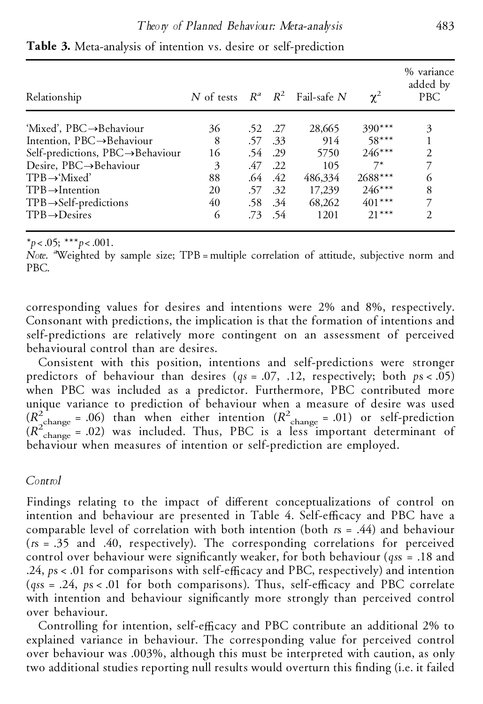| Relationship                           | N of tests $R^a$ $R^2$ |         |         | Fail-safe $N$ | $\chi^2$ | % variance<br>added by<br>PBC |
|----------------------------------------|------------------------|---------|---------|---------------|----------|-------------------------------|
| 'Mixed', $PBC \rightarrow Behaviour$   | 36                     | .52 .27 |         | 28,665        | $390***$ | 3                             |
| Intention, $PBC \rightarrow Behaviour$ | 8                      | .57     | .33     | 914           | $58***$  |                               |
| Self-predictions, PBC→Behaviour        | 16                     | .54     | .29     | 5750          | $246***$ | 2                             |
| Desire, $PBC \rightarrow Behaviour$    | 3                      | .47     | .22     | 105           | $7^*$    | 7                             |
| $TPB \rightarrow 'Mixed'$              | 88                     | .64     | .42     | 486,334       | 2688***  | 6                             |
| $TPB \rightarrow Intention$            | 20                     |         | .57 .32 | 17,239        | $246***$ | 8                             |
| $TPB \rightarrow Self-predictions$     | 40                     |         | .58 .34 | 68,262        | $401***$ | 7                             |
| $TPB \rightarrow$ Desires              | 6                      | .73     | .54     | 1201          | $21***$  | 2                             |

**Table 3.** Meta-analysis of intention vs. desire or self-prediction

\**p*<.05; \*\*\**p*<.001.

*Note.* <sup>a</sup>Weighted by sample size; TPB=multiple correlation of attitude, subjective norm and PBC.

corresponding values for desires and intentions were 2% and 8%, respectively. Consonant with predictions, the implication is that the formation of intentions and self-predictions are relatively more contingent on an assessment of perceived behavioural control than are desires.

Consistent with this position, intentions and self-predictions were stronger predictors of behaviour than desires ( $qs = .07, .12,$  respectively; both  $ps < .05$ ) when PBC was included as a predictor. Furthermore, PBC contributed more unique variance to prediction of behaviour when a measure of desire was used  $(R_{\text{change}}^2 = .06)$  than when either intention  $(R_{\text{change}}^2 = .01)$  or self-prediction  $(R_{\text{change}}^2 = .02)$  was included. Thus, PBC is a less important determinant of behaviour when measures of intention or self-prediction are employed.

# *Control*

Findings relating to the impact of different conceptualizations of control on intention and behaviour are presented in Table 4. Self-efficacy and PBC have a comparable level of correlation with both intention (both *r*s = .44) and behaviour (*r*s = .35 and .40, respectively). The corresponding correlations for perceived control over behaviour were significantly weaker, for both behaviour (*qss* = .18 and .24,  $ps < .01$  for comparisons with self-efficacy and PBC, respectively) and intention  $(gss = .24, ps < .01$  for both comparisons). Thus, self-efficacy and PBC correlate with intention and behaviour significantly more strongly than perceived control over behaviour.

Controlling for intention, self-efficacy and PBC contribute an additional 2% to explained variance in behaviour. The corresponding value for perceived control over behaviour was .003%, although this must be interpreted with caution, as only two additional studies reporting null results would overturn this finding (i.e. it failed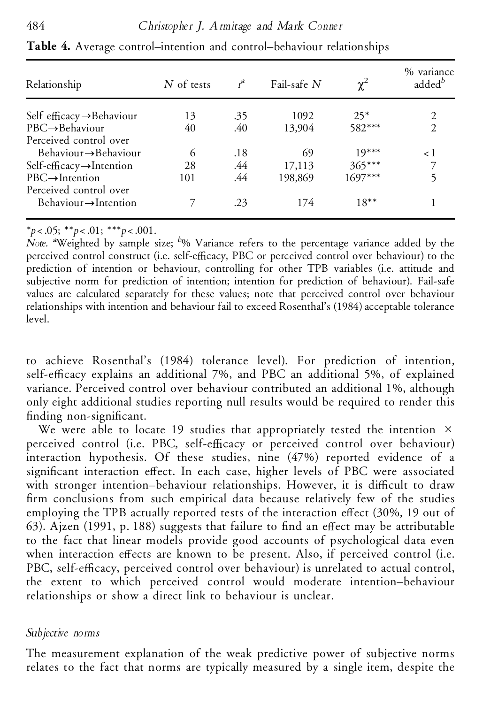| Relationship                          | N of tests | $r^a$ | Fail-safe $N$ | $\chi^2$  | % variance<br>added <sup>b</sup> |
|---------------------------------------|------------|-------|---------------|-----------|----------------------------------|
| Self efficacy $\rightarrow$ Behaviour | 13         | .35   | 1092          | $25*$     |                                  |
| $PBC \rightarrow$ Behaviour           | 40         | .40   | 13.904        | $582***$  | $\mathcal{D}_{\mathcal{L}}$      |
| Perceived control over                |            |       |               |           |                                  |
| $Behaviour \rightarrow Behaviour$     | 6          | .18   | 69            | $19***$   | $\langle \ \cdot \rangle$        |
| Self-efficacy $\rightarrow$ Intention | 28         | .44   | 17,113        | $365***$  |                                  |
| $PBC \rightarrow$ Intention           | 101        | .44   | 198,869       | $1697***$ |                                  |
| Perceived control over                |            |       |               |           |                                  |
| $Behaviour \rightarrow Intention$     |            | .23   | 174           | $18***$   |                                  |

**Table 4.** Average control–intention and control–behaviour relationships

\**p*<.05; \*\**p*<.01; \*\*\**p*<.001.

*Note. <sup>a</sup>*Weighted by sample size; *<sup>b</sup>*% Variance refers to the percentage variance added by the perceived control construct (i.e. self-efficacy, PBC or perceived control over behaviour) to the prediction of intention or behaviour, controlling for other TPB variables (i.e. attitude and subjective norm for prediction of intention; intention for prediction of behaviour). Fail-safe values are calculated separately for these values; note that perceived control over behaviour relationships with intention and behaviour fail to exceed Rosenthal's (1984) acceptable tolerance level.

to achieve Rosenthal's (1984) tolerance level). For prediction of intention, self-efficacy explains an additional 7%, and PBC an additional 5%, of explained variance. Perceived control over behaviour contributed an additional 1%, although only eight additional studies reporting null results would be required to render this finding non-significant.

We were able to locate 19 studies that appropriately tested the intention  $\times$ perceived control (i.e. PBC, self-efficacy or perceived control over behaviour) interaction hypothesis. Of these studies, nine (47%) reported evidence of a significant interaction effect. In each case, higher levels of PBC were associated with stronger intention–behaviour relationships. However, it is difficult to draw firm conclusions from such empirical data because relatively few of the studies employing the TPB actually reported tests of the interaction effect (30%, 19 out of 63). Ajzen (1991, p. 188) suggests that failure to find an effect may be attributable to the fact that linear models provide good accounts of psychological data even when interaction effects are known to be present. Also, if perceived control (i.e. PBC, self-efficacy, perceived control over behaviour) is unrelated to actual control, the extent to which perceived control would moderate intention–behaviour relationships or show a direct link to behaviour is unclear.

# *Subjective norms*

The measurement explanation of the weak predictive power of subjective norms relates to the fact that norms are typically measured by a single item, despite the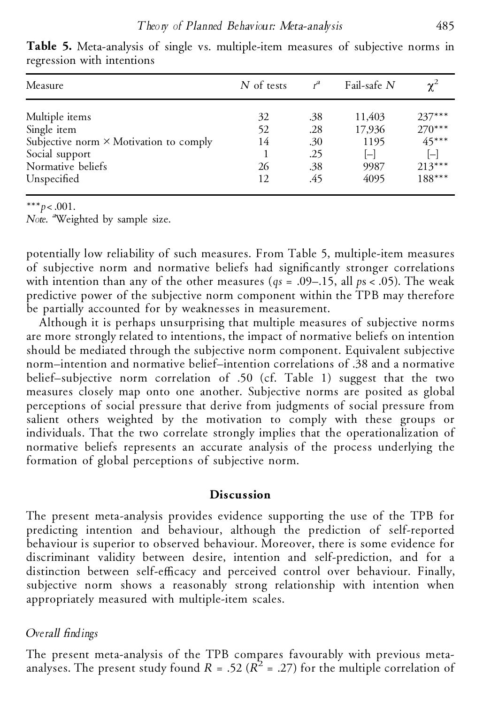| Measure                                       | N of tests |     | Fail-safe N | $\chi^2$                |
|-----------------------------------------------|------------|-----|-------------|-------------------------|
| Multiple items                                | 32         | .38 | 11,403      | $237***$                |
| Single item                                   | 52         | .28 | 17,936      | $270***$                |
| Subjective norm $\times$ Motivation to comply | 14         | .30 | 1195        | $45***$                 |
| Social support                                |            | .25 | $ - $       | $[\mathord{\text{--}}]$ |
| Normative beliefs                             | 26         | .38 | 9987        | $213***$                |
| Unspecified                                   | 12         | .45 | 4095        | $188***$                |

**Table 5.** Meta-analysis of single vs. multiple-item measures of subjective norms in regression with intentions

\*\*\**p*<.001.

*Note. <sup>a</sup>*Weighted by sample size.

potentially low reliability of such measures. From Table 5, multiple-item measures of subjective norm and normative beliefs had significantly stronger correlations with intention than any of the other measures (*qs* = .09–.15, all *p*s<.05). The weak predictive power of the subjective norm component within the TPB may therefore be partially accounted for by weaknesses in measurement.

Although it is perhaps unsurprising that multiple measures of subjective norms are more strongly related to intentions, the impact of normative beliefs on intention should be mediated through the subjective norm component. Equivalent subjective norm–intention and normative belief–intention correlations of .38 and a normative belief–subjective norm correlation of .50 (cf. Table 1) suggest that the two measures closely map onto one another. Subjective norms are posited as global perceptions of social pressure that derive from judgments of social pressure from salient others weighted by the motivation to comply with these groups or individuals. That the two correlate strongly implies that the operationalization of normative beliefs represents an accurate analysis of the process underlying the formation of global perceptions of subjective norm.

### **Discussion**

The present meta-analysis provides evidence supporting the use of the TPB for predicting intention and behaviour, although the prediction of self-reported behaviour is superior to observed behaviour. Moreover, there is some evidence for discriminant validity between desire, intention and self-prediction, and for a distinction between self-efficacy and perceived control over behaviour. Finally, subjective norm shows a reasonably strong relationship with intention when appropriately measured with multiple-item scales.

# *Overall ndings*

The present meta-analysis of the TPB compares favourably with previous metaanalyses. The present study found  $R = .52$  ( $R^2 = .27$ ) for the multiple correlation of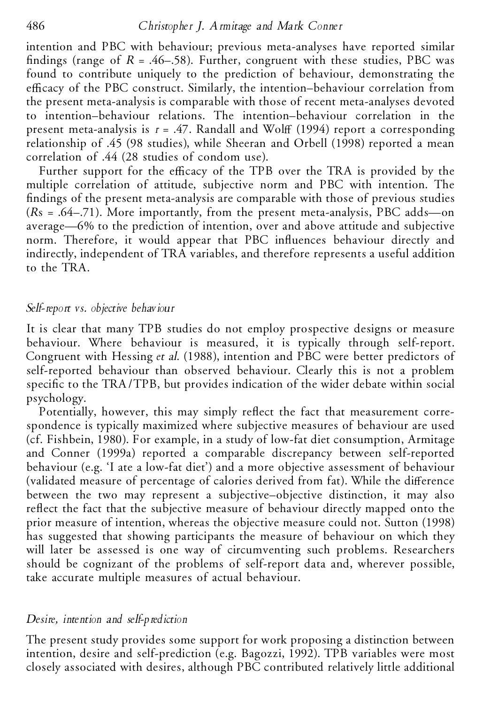intention and PBC with behaviour; previous meta-analyses have reported similar findings (range of  $R = .46–.58$ ). Further, congruent with these studies, PBC was found to contribute uniquely to the prediction of behaviour, demonstrating the efficacy of the PBC construct. Similarly, the intention–behaviour correlation from the present meta-analysis is comparable with those of recent meta-analyses devoted to intention–behaviour relations. The intention–behaviour correlation in the present meta-analysis is  $r = .47$ . Randall and Wolff (1994) report a corresponding relationship of .45 (98 studies), while Sheeran and Orbell (1998) reported a mean correlation of .44 (28 studies of condom use).

Further support for the efficacy of the TPB over the TRA is provided by the multiple correlation of attitude, subjective norm and PBC with intention. The ndings of the present meta-analysis are comparable with those of previous studies (*R*s = .64–.71). More importantly, from the present meta-analysis, PBC adds—on average—6% to the prediction of intention, over and above attitude and subjective norm. Therefore, it would appear that PBC influences behaviour directly and indirectly, independent of TRA variables, and therefore represents a useful addition to the TRA.

# *Self-report vs. objective behaviour*

It is clear that many TPB studies do not employ prospective designs or measure behaviour. Where behaviour is measured, it is typically through self-report. Congruent with Hessing *et al*. (1988), intention and PBC were better predictors of self-reported behaviour than observed behaviour. Clearly this is not a problem specific to the TRA/TPB, but provides indication of the wider debate within social psychology.

Potentially, however, this may simply reflect the fact that measurement correspondence is typically maximized where subjective measures of behaviour are used (cf. Fishbein, 1980). For example, in a study of low-fat diet consumption, Armitage and Conner (1999a) reported a comparable discrepancy between self-reported behaviour (e.g. 'I ate a low-fat diet') and a more objective assessment of behaviour (validated measure of percentage of calories derived from fat). While the difference between the two may represent a subjective–objective distinction, it may also reflect the fact that the subjective measure of behaviour directly mapped onto the prior measure of intention, whereas the objective measure could not. Sutton (1998) has suggested that showing participants the measure of behaviour on which they will later be assessed is one way of circumventing such problems. Researchers should be cognizant of the problems of self-report data and, wherever possible, take accurate multiple measures of actual behaviour.

### *Desire, intention and self-prediction*

The present study provides some support for work proposing a distinction between intention, desire and self-prediction (e.g. Bagozzi, 1992). TPB variables were most closely associated with desires, although PBC contributed relatively little additional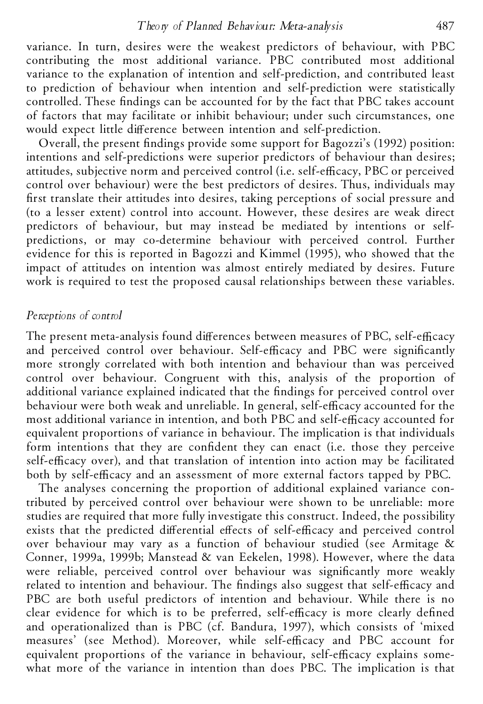variance. In turn, desires were the weakest predictors of behaviour, with PBC contributing the most additional variance. PBC contributed most additional variance to the explanation of intention and self-prediction, and contributed least to prediction of behaviour when intention and self-prediction were statistically controlled. These findings can be accounted for by the fact that PBC takes account of factors that may facilitate or inhibit behaviour; under such circumstances, one would expect little difference between intention and self-prediction.

Overall, the present findings provide some support for Bagozzi's (1992) position: intentions and self-predictions were superior predictors of behaviour than desires; attitudes, subjective norm and perceived control (i.e. self-efficacy, PBC or perceived control over behaviour) were the best predictors of desires. Thus, individuals may first translate their attitudes into desires, taking perceptions of social pressure and (to a lesser extent) control into account. However, these desires are weak direct predictors of behaviour, but may instead be mediated by intentions or selfpredictions, or may co-determine behaviour with perceived control. Further evidence for this is reported in Bagozzi and Kimmel (1995), who showed that the impact of attitudes on intention was almost entirely mediated by desires. Future work is required to test the proposed causal relationships between these variables.

# *Perceptions of control*

The present meta-analysis found differences between measures of PBC, self-efficacy and perceived control over behaviour. Self-efficacy and PBC were significantly more strongly correlated with both intention and behaviour than was perceived control over behaviour. Congruent with this, analysis of the proportion of additional variance explained indicated that the findings for perceived control over behaviour were both weak and unreliable. In general, self-efficacy accounted for the most additional variance in intention, and both PBC and self-efficacy accounted for equivalent proportions of variance in behaviour. The implication is that individuals form intentions that they are confident they can enact (i.e. those they perceive self-efficacy over), and that translation of intention into action may be facilitated both by self-efficacy and an assessment of more external factors tapped by PBC.

The analyses concerning the proportion of additional explained variance contributed by perceived control over behaviour were shown to be unreliable: more studies are required that more fully investigate this construct. Indeed, the possibility exists that the predicted differential effects of self-efficacy and perceived control over behaviour may vary as a function of behaviour studied (see Armitage & Conner, 1999a, 1999b; Manstead & van Eekelen, 1998). However, where the data were reliable, perceived control over behaviour was significantly more weakly related to intention and behaviour. The findings also suggest that self-efficacy and PBC are both useful predictors of intention and behaviour. While there is no clear evidence for which is to be preferred, self-efficacy is more clearly defined and operationalized than is PBC (cf. Bandura, 1997), which consists of 'mixed measures' (see Method). Moreover, while self-efficacy and PBC account for equivalent proportions of the variance in behaviour, self-efficacy explains somewhat more of the variance in intention than does PBC. The implication is that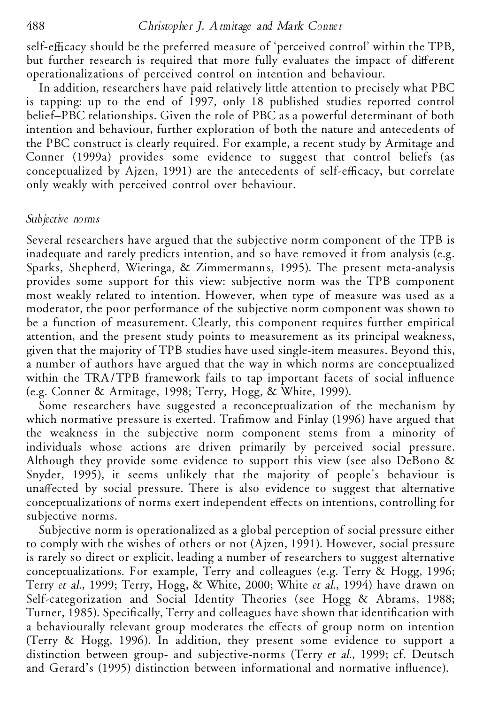## 488 *Christopher J. Armitage and Mark Conner*

self-efficacy should be the preferred measure of 'perceived control' within the TPB, but further research is required that more fully evaluates the impact of different operationalizations of perceived control on intention and behaviour.

In addition, researchers have paid relatively little attention to precisely what PBC is tapping: up to the end of 1997, only 18 published studies reported control belief–PBC relationships. Given the role of PBC as a powerful determinant of both intention and behaviour, further exploration of both the nature and antecedents of the PBC construct is clearly required. For example, a recent study by Armitage and Conner (1999a) provides some evidence to suggest that control beliefs (as conceptualized by Ajzen, 1991) are the antecedents of self-efficacy, but correlate only weakly with perceived control over behaviour.

### *Subjective norms*

Several researchers have argued that the subjective norm component of the TPB is inadequate and rarely predicts intention, and so have removed it from analysis (e.g. Sparks, Shepherd, Wieringa, & Zimmermanns, 1995). The present meta-analysis provides some support for this view: subjective norm was the TPB component most weakly related to intention. However, when type of measure was used as a moderator, the poor performance of the subjective norm component was shown to be a function of measurement. Clearly, this component requires further empirical attention, and the present study points to measurement as its principal weakness, given that the majority of TPB studies have used single-item measures. Beyond this, a number of authors have argued that the way in which norms are conceptualized within the TRA/TPB framework fails to tap important facets of social influence (e.g. Conner & Armitage, 1998; Terry, Hogg, & White, 1999).

Some researchers have suggested a reconceptualization of the mechanism by which normative pressure is exerted. Trafimow and Finlay (1996) have argued that the weakness in the subjective norm component stems from a minority of individuals whose actions are driven primarily by perceived social pressure. Although they provide some evidence to support this view (see also DeBono & Snyder, 1995), it seems unlikely that the majority of people's behaviour is unaffected by social pressure. There is also evidence to suggest that alternative conceptualizations of norms exert independent effects on intentions, controlling for subjective norms.

Subjective norm is operationalized as a global perception of social pressure either to comply with the wishes of others or not (Ajzen, 1991). However, social pressure is rarely so direct or explicit, leading a number of researchers to suggest alternative conceptualizations. For example, Terry and colleagues (e.g. Terry & Hogg, 1996; Terry *et al*., 1999; Terry, Hogg, & White, 2000; White *et al*., 1994) have drawn on Self-categorization and Social Identity Theories (see Hogg & Abrams, 1988; Turner, 1985). Specifically, Terry and colleagues have shown that identification with a behaviourally relevant group moderates the effects of group norm on intention (Terry & Hogg, 1996). In addition, they present some evidence to support a distinction between group- and subjective-norms (Terry *et al*., 1999; cf. Deutsch and Gerard's (1995) distinction between informational and normative influence).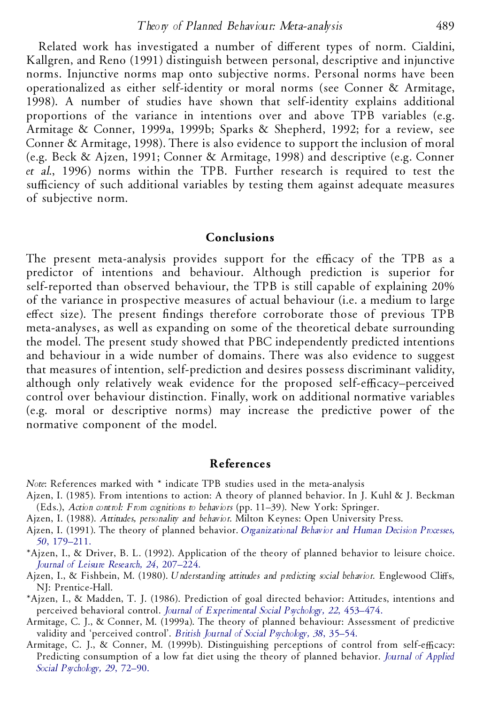#### *Theory of Planned Behaviour: Meta-analysis* 489

Related work has investigated a number of different types of norm. Cialdini, Kallgren, and Reno (1991) distinguish between personal, descriptive and injunctive norms. Injunctive norms map onto subjective norms. Personal norms have been operationalized as either self-identity or moral norms (see Conner & Armitage, 1998). A number of studies have shown that self-identity explains additional proportions of the variance in intentions over and above TPB variables (e.g. Armitage & Conner, 1999a, 1999b; Sparks & Shepherd, 1992; for a review, see Conner & Armitage, 1998). There is also evidence to support the inclusion of moral (e.g. Beck & Ajzen, 1991; Conner & Armitage, 1998) and descriptive (e.g. Conner *et al*., 1996) norms within the TPB. Further research is required to test the sufficiency of such additional variables by testing them against adequate measures of subjective norm.

### **Conclusions**

The present meta-analysis provides support for the efficacy of the TPB as a predictor of intentions and behaviour. Although prediction is superior for self-reported than observed behaviour, the TPB is still capable of explaining 20% of the variance in prospective measures of actual behaviour (i.e. a medium to large effect size). The present findings therefore corroborate those of previous TPB meta-analyses, as well as expanding on some of the theoretical debate surrounding the model. The present study showed that PBC independently predicted intentions and behaviour in a wide number of domains. There was also evidence to suggest that measures of intention, self-prediction and desires possess discriminant validity, although only relatively weak evidence for the proposed self-efficacy-perceived control over behaviour distinction. Finally, work on additional normative variables (e.g. moral or descriptive norms) may increase the predictive power of the normative component of the model.

#### **References**

*Note*: References marked with \* indicate TPB studies used in the meta-analysis

- Ajzen, I. (1985). From intentions to action: A theory of planned behavior. In J.Kuhl & J. Beckman (Eds.), *Action control: From cognitions to behaviors* (pp. 11–39). New York: Springer.
- Ajzen, I. (1988). *Attitudes, personality and behavior*. Milton Keynes: Open University Press.
- Ajzen, I. (1991). The theory of planned behavior. *[Organizational](http://www.ingentaconnect.com/content/external-references?article=/0749-5978^28^2950L.179[aid=16280]) Behavior and Human Decision Processes, 50*, [179–211.](http://www.ingentaconnect.com/content/external-references?article=/0749-5978^28^2950L.179[aid=16280])
- \*Ajzen, I., & Driver, B. L. (1992). Application of the theory of planned behavior to leisure choice. *Journal of Leisure Research, 24*, [207–224.](http://www.ingentaconnect.com/content/external-references?article=/0022-2216^28^2924L.207[aid=137434])
- Ajzen, I., & Fishbein, M. (1980). *Understanding attitudes and predicting social behavior*. Englewood Cliffs, NJ: Prentice-Hall.
- \*Ajzen, I., & Madden, T. J. (1986). Prediction of goal directed behavior: Attitudes, intentions and perceived behavioral control. *Journal of [Experimental](http://www.ingentaconnect.com/content/external-references?article=/0022-1031^28^2922L.453[aid=16478]) Social Psychology, 22*, 453–474.
- Armitage, C. J., & Conner, M. (1999a). The theory of planned behaviour: Assessment of predictive validity and 'perceived control'. *British Journal of Social [Psychology,](http://www.ingentaconnect.com/content/external-references?article=/0144-6665^28^2938L.35[aid=17112]) 38*, 35–54.
- Armitage, C. J., & Conner, M. (1999b). Distinguishing perceptions of control from self-efficacy: Predicting consumption of a low fat diet using the theory of planned behavior. *Journal of [Applied](http://www.ingentaconnect.com/content/external-references?article=/0021-9029^28^2929L.72[aid=16481]) Social [Psychology,](http://www.ingentaconnect.com/content/external-references?article=/0021-9029^28^2929L.72[aid=16481]) 29*, 72–90.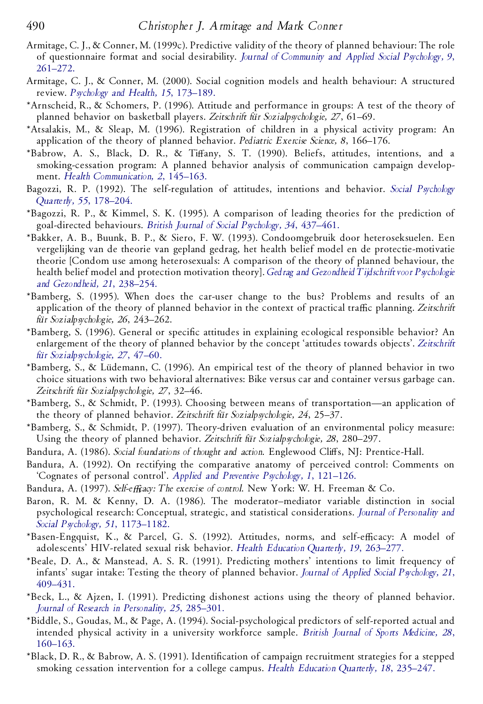- Armitage, C. J., & Conner, M. (1999c). Predictive validity of the theory of planned behaviour: The role of questionnaire format and social desirability. *Journal of [Community](http://www.ingentaconnect.com/content/external-references?article=/1052-9284^28^299L.261[aid=1876187]) and Applied Social Psychology, 9*, [261–272.](http://www.ingentaconnect.com/content/external-references?article=/1052-9284^28^299L.261[aid=1876187])
- Armitage, C. J., & Conner, M. (2000). Social cognition models and health behaviour: A structured review. *[Psychology](http://www.ingentaconnect.com/content/external-references?article=/0887-0446^28^2915L.173[aid=1876188]) and Health, 15*, 173–189.
- \*Arnscheid, R., & Schomers, P. (1996). Attitude and performance in groups: A test of the theory of planned behavior on basketball players. *Zeitschrift fu¨r Sozialpsychologie, 27*, 61–69.
- \*Atsalakis, M., & Sleap, M. (1996). Registration of children in a physical activity program: An application of the theory of planned behavior. *Pediatric Exercise Science, 8*, 166–176.
- \*Babrow, A. S., Black, D. R., & Tiffany, S. T. (1990). Beliefs, attitudes, intentions, and a smoking-cessation program: A planned behavior analysis of communication campaign develop ment. *Health [Communication,](http://www.ingentaconnect.com/content/external-references?article=/1041-0236^28^292L.145[aid=1876190]) 2*, 145–163.
- Bagozzi, R. P. (1992). The self-regulation of attitudes, intentions and behavior. *Social [Psychology](http://www.ingentaconnect.com/content/external-references?article=/0190-2725^28^2955L.178[aid=16282]) Quarterly, 55*, [178–204.](http://www.ingentaconnect.com/content/external-references?article=/0190-2725^28^2955L.178[aid=16282])
- \*Bagozzi, R. P., & Kimmel, S. K. (1995). A comparison of leading theories for the prediction of goal-directed behaviours. *British Journal of Social [Psychology,](http://www.ingentaconnect.com/content/external-references?article=/0144-6665^28^2934L.437[aid=16483]) 34*, 437–461.
- \*Bakker, A. B., Buunk, B. P., & Siero, F. W. (1993). Condoomgebruik door heteroseksuelen. Een vergelijking van de theorie van gepland gedrag, het health belief model en de protectie-motivatie theorie [Condom use among heterosexuals: A comparison of the theory of planned behaviour, the health belief model and protection motivation theory]. *Gedrag and [Gezondheid](http://www.ingentaconnect.com/content/external-references?article=/0921-5360^28^2921L.238[aid=1876191]) Tijdschrift voor Psychologie and [Gezondheid,](http://www.ingentaconnect.com/content/external-references?article=/0921-5360^28^2921L.238[aid=1876191]) 21*, 238–254.
- \*Bamberg, S. (1995). When does the car-user change to the bus? Problems and results of an application of the theory of planned behavior in the context of practical traffic planning. *Zeitschrift fu¨r Sozialpsychologie, 26*, 243–262.
- \*Bamberg, S. (1996). General or specific attitudes in explaining ecological responsible behavior? An enlargement of the theory of planned behavior by the concept 'attitudes towards objects'. *[Zeitschrift](http://www.ingentaconnect.com/content/external-references?article=/0044-3514^28^2927L.47[aid=1876193]) fu¨r [Sozialpsychologie,](http://www.ingentaconnect.com/content/external-references?article=/0044-3514^28^2927L.47[aid=1876193]) 27*, 47–60.
- \*Bamberg, S., & Lüdemann, C. (1996). An empirical test of the theory of planned behavior in two choice situations with two behavioral alternatives: Bike versus car and container versus garbage can. *Zeitschrift fu¨r Sozialpsychologie, 27*, 32–46.
- \*Bamberg, S., & Schmidt, P. (1993). Choosing between means of transportation—an application of the theory of planned behavior. *Zeitschrift fu¨r Sozialpsychologie, 24*, 25–37.
- \*Bamberg, S., & Schmidt, P. (1997). Theory-driven evaluation of an environmental policy measure: Using the theory of planned behavior. *Zeitschrift fu¨r Sozialpsychologie, 28*, 280–297.
- Bandura, A. (1986). *Social foundations of thought and action*. Englewood Cliffs, NJ: Prentice-Hall.
- Bandura, A. (1992). On rectifying the comparative anatomy of perceived control: Comments on 'Cognates of personal control'. *Applied and Preventive [Psychology,](http://www.ingentaconnect.com/content/external-references?article=/0962-1849^28^291L.121[aid=137425]) 1*, 121–126.
- Bandura, A. (1997). *Self-eYcacy: The exercise of control*. New York: W. H. Freeman & Co.
- Baron, R. M. & Kenny, D. A. (1986). The moderator–mediator variable distinction in social psychological research: Conceptual, strategic, and statistical considerations. *Journal of [Personality](http://www.ingentaconnect.com/content/external-references?article=/0022-3514^28^2951L.1173[aid=16073]) and Social Psychology, 51*, [1173–1182.](http://www.ingentaconnect.com/content/external-references?article=/0022-3514^28^2951L.1173[aid=16073])
- \*Basen-Engquist, K., & Parcel, G. S. (1992). Attitudes, norms, and self-efficacy: A model of adolescents' HIV-related sexual risk behavior. *Health Ed ucation Quarterly, 19*, [263–277.](http://www.ingentaconnect.com/content/external-references?article=/0195-8402^28^2919L.263[aid=1797749])
- \*Beale, D. A., & Manstead, A. S. R. (1991). Predicting mothers' intentions to limit frequency of infants' sugar intake: Testing the theory of planned behavior. *Journal of Applied Social [Psychology,](http://www.ingentaconnect.com/content/external-references?article=/0021-9029^28^2921L.409[aid=16283]) 21*, [409–431.](http://www.ingentaconnect.com/content/external-references?article=/0021-9029^28^2921L.409[aid=16283])
- \*Beck, L., & Ajzen, I. (1991). Predicting dishonest actions using the theory of planned behavior. *Journal of Research in [Personality,](http://www.ingentaconnect.com/content/external-references?article=/0092-6566^28^2925L.285[aid=16485]) 25*, 285–301.
- \*Biddle, S., Goudas, M., & Page, A. (1994). Social-psychological predictors of self-reported actual and intended physical activity in a university workforce sample. *British Journal of Sports [Medicine,](http://www.ingentaconnect.com/content/external-references?article=/0306-3674^28^2928L.160[aid=1504077]) 28*, [160–163.](http://www.ingentaconnect.com/content/external-references?article=/0306-3674^28^2928L.160[aid=1504077])
- \*Black, D. R., & Babrow, A. S. (1991). Identification of campaign recruitment strategies for a stepped smoking cessation intervention for a college campus. *Health Ed ucation Quarterly, 18*, [235–247.](http://www.ingentaconnect.com/content/external-references?article=/0195-8402^28^2918L.235[aid=1876196])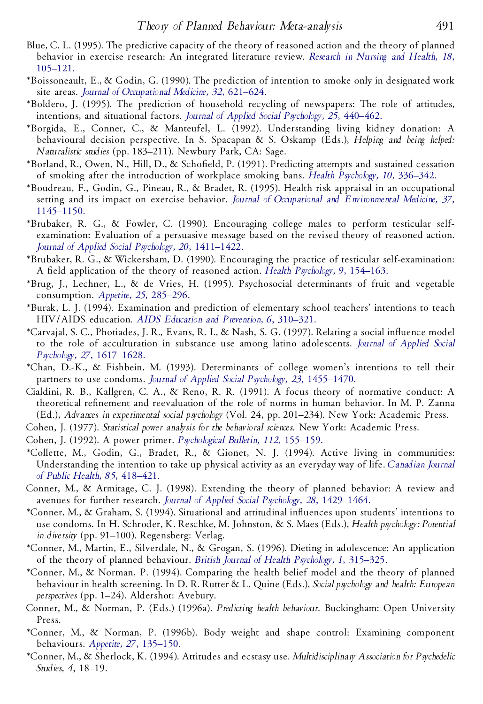- Blue, C. L. (1995). The predictive capacity of the theory of reasoned action and the theory of planned behavior in exercise research: An integrated literature review. *[Research](http://www.ingentaconnect.com/content/external-references?article=/0160-6891^28^2918L.105[aid=710846]) in Nursing and Health, 18*, [105–121.](http://www.ingentaconnect.com/content/external-references?article=/0160-6891^28^2918L.105[aid=710846])
- \*Boissoneault, E., & Godin, G. (1990). The prediction of intention to smoke only in designated work site areas. *Journal of [Occupational](http://www.ingentaconnect.com/content/external-references?article=/0096-1736^28^2932L.621[aid=1876197]) Medicine, 32*, 621–624.
- \*Boldero, J. (1995). The prediction of household recycling of newspapers: The role of attitudes, intentions, and situational factors. *Journal of Applied Social [Psychology,](http://www.ingentaconnect.com/content/external-references?article=/0021-9029^28^2925L.440[aid=1795064]) 25*, 440–462.
- \*Borgida, E., Conner, C., & Manteufel, L. (1992). Understanding living kidney donation: A behavioural decision perspective. In S. Spacapan & S. Oskamp (Eds.), *Helping and being helped: Naturalistic studies* (pp. 183–211). Newbury Park, CA: Sage.
- \*Borland, R., Owen, N., Hill, D., & Scho eld, P. (1991). Predicting attempts and sustained cessation of smoking after the introduction of workplace smoking bans. *Health [Psychology,](http://www.ingentaconnect.com/content/external-references?article=/0278-6133^28^2910L.336[aid=71065]) 10*, 336–342.
- \*Boudreau, F., Godin, G., Pineau, R., & Bradet, R. (1995). Health risk appraisal in an occupational setting and its impact on exercise behavior. *Journal of Occupational and [Environmental](http://www.ingentaconnect.com/content/external-references?article=/1076-2752^28^2937L.1145[aid=1876198]) Medicine, 37*, [1145–1150.](http://www.ingentaconnect.com/content/external-references?article=/1076-2752^28^2937L.1145[aid=1876198])
- \*Brubaker, R. G., & Fowler, C. (1990). Encouraging college males to perform testicular selfexamination: Evaluation of a persuasive message based on the revised theory of reasoned action. *Journal of Applied Social Psychology, 20*, [1411–1422.](http://www.ingentaconnect.com/content/external-references?article=/0021-9029^28^2920L.1411[aid=16284])
- \*Brubaker, R. G., & Wickersham, D. (1990). Encouraging the practice of testicular self-examination: A field application of the theory of reasoned action. *Health Psychology*, 9, 154-163.
- \*Brug, J., Lechner, L., & de Vries, H. (1995). Psychosocial determinants of fruit and vegetable consumption. *Appetite, 25*, [285–296.](http://www.ingentaconnect.com/content/external-references?article=/0195-6663^28^2925L.285[aid=1876199])
- \*Burak, L. J. (1994). Examination and prediction of elementary school teachers' intentions to teach HIV/AIDS education. *AIDS Ed ucation and [Prevention,](http://www.ingentaconnect.com/content/external-references?article=/0899-9546^28^296L.310[aid=1876200]) 6*, 310–321.
- \*Carvajal, S. C., Photiades, J. R., Evans, R. I., & Nash, S. G. (1997). Relating a social in uence model to the role of acculturation in substance use among latino adolescents. *Journal of [Applied](http://www.ingentaconnect.com/content/external-references?article=/0021-9029^28^2927L.1617[aid=1876201]) Social Psychology, 27*, [1617–1628.](http://www.ingentaconnect.com/content/external-references?article=/0021-9029^28^2927L.1617[aid=1876201])
- \*Chan, D.-K., & Fishbein, M. (1993). Determinants of college women's intentions to tell their partners to use condoms. *Journal of Applied Social Psychology, 23*, [1455–1470.](http://www.ingentaconnect.com/content/external-references?article=/0021-9029^28^2923L.1455[aid=1492711])
- Cialdini, R. B., Kallgren, C. A., & Reno, R. R. (1991). A focus theory of normative conduct: A theoretical refinement and reevaluation of the role of norms in human behavior. In M. P. Zanna (Ed.), *Advances in experimental social psychology* (Vol. 24, pp. 201–234). New York: Academic Press.
- Cohen, J. (1977). *Statistical power analysis for the behavioral sciences*. New York: Academic Press.
- Cohen, J. (1992). A power primer. *[Psychological](http://www.ingentaconnect.com/content/external-references?article=/0033-2909^28^29112L.155[aid=21915]) Bulletin, 112*, 155–159.
- \*Collette, M., Godin, G., Bradet, R., & Gionet, N. J. (1994). Active living in communities: Understanding the intention to take up physical activity as an everyday way of life. *[Canadian](http://www.ingentaconnect.com/content/external-references?article=/0008-4263^28^2985L.418[aid=1876202]) Journal of Public Health, 85*, [418–421.](http://www.ingentaconnect.com/content/external-references?article=/0008-4263^28^2985L.418[aid=1876202])
- Conner, M., & Armitage, C. J. (1998). Extending the theory of planned behavior: A review and avenues for further research. *Journal of Applied Social Psychology, 28*, [1429–1464.](http://www.ingentaconnect.com/content/external-references?article=/0021-9029^28^2928L.1429[aid=16490])
- \*Conner, M., & Graham, S. (1994). Situational and attitudinal in uences upon students' intentions to use condoms. In H. Schroder, K. Reschke, M. Johnston, & S. Maes (Eds.), *Health psychology: Potential in diversity* (pp. 91–100). Regensberg: Verlag.
- \*Conner, M., Martin, E., Silverdale, N., & Grogan, S. (1996). Dieting in adolescence: An application of the theory of planned behaviour. *British Journal of Health [Psychology,](http://www.ingentaconnect.com/content/external-references?article=/1359-107X^28^291L.315[aid=16491]) 1*, 315–325.
- \*Conner, M., & Norman, P. (1994). Comparing the health belief model and the theory of planned behaviour in health screening. In D. R. Rutter & L. Quine (Eds.), *Social psychology and health: European perspectives* (pp. 1–24). Aldershot: Avebury.
- Conner, M., & Norman, P. (Eds.) (1996a). *Predicting health behaviour*. Buckingham: Open University Press.
- \*Conner, M., & Norman, P. (1996b). Body weight and shape control: Examining component behaviours. *Appetite, 27*, [135–150.](http://www.ingentaconnect.com/content/external-references?article=/0195-6663^28^2927L.135[aid=1876203])
- \*Conner, M., & Sherlock, K. (1994). Attitudes and ecstasy use. *Multidisciplinary Association for Psychedelic Studies, 4*, 18–19.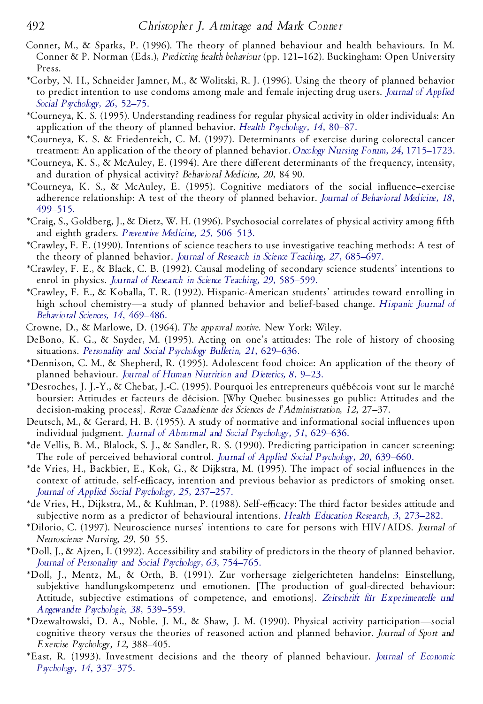- Conner, M., & Sparks, P. (1996). The theory of planned behaviour and health behaviours. In M. Conner & P. Norman (Eds.), *Predicting health behaviour* (pp. 121–162). Buckingham: Open University Press.
- \*Corby, N. H., Schneider Jamner, M., & Wolitski, R. J. (1996). Using the theory of planned behavior to predict intention to use condoms among male and female injecting drug users. *Journal of [Applied](http://www.ingentaconnect.com/content/external-references?article=/0021-9029^28^2926L.52[aid=1197813]) Social [Psychology,](http://www.ingentaconnect.com/content/external-references?article=/0021-9029^28^2926L.52[aid=1197813]) 26*, 52–75.
- \*Courneya, K. S. (1995). Understanding readiness for regular physical activity in older individuals: An application of the theory of planned behavior. *Health [Psychology,](http://www.ingentaconnect.com/content/external-references?article=/0278-6133^28^2914L.80[aid=768410]) 14*, 80–87.
- \*Courneya, K. S. & Friedenreich, C. M. (1997). Determinants of exercise during colorectal cancer treatment: An application of the theory of planned behavior. *Oncology Nursing Forum, 24*, [1715–1723.](http://www.ingentaconnect.com/content/external-references?article=/0190-535X^28^2924L.1715[aid=1876204])
- \*Courneya, K. S., & McAuley, E. (1994). Are there diVerent determinants of the frequency, intensity, and duration of physical activity? *Behavioral Medicine, 20*, 84 90.
- \*Courneya, K. S., & McAuley, E. (1995). Cognitive mediators of the social in uence–exercise adherence relationship: A test of the theory of planned behavior. *Journal of [Behavioral](http://www.ingentaconnect.com/content/external-references?article=/0160-7715^28^2918L.499[aid=1163575]) Medicine, 18*, [499–515.](http://www.ingentaconnect.com/content/external-references?article=/0160-7715^28^2918L.499[aid=1163575])
- \*Craig, S., Goldberg, J., & Dietz, W. H. (1996). Psychosocial correlates of physical activity among fth and eighth graders. *Preventive Medicine, 25*, [506–513.](http://www.ingentaconnect.com/content/external-references?article=/0091-7435^28^2925L.506[aid=1876206])
- \*Crawley, F. E. (1990). Intentions of science teachers to use investigative teaching methods: A test of the theory of planned behavior. *Journal of Research in Science Teaching, 27*, [685–697.](http://www.ingentaconnect.com/content/external-references?article=/0022-4308^28^2927L.685[aid=1876207])
- \*Crawley, F. E., & Black, C. B. (1992). Causal modeling of secondary science students' intentions to enrol in physics. *Journal of Research in Science Teaching, 29*, [585–599.](http://www.ingentaconnect.com/content/external-references?article=/0022-4308^28^2929L.585[aid=22471])
- \*Crawley, F. E., & Koballa, T. R. (1992). Hispanic-American students' attitudes toward enrolling in high school chemistry—a study of planned behavior and belief-based change. *[Hispanic](http://www.ingentaconnect.com/content/external-references?article=/0739-9863^28^2914L.469[aid=1876208]) Journal of [Behavioral](http://www.ingentaconnect.com/content/external-references?article=/0739-9863^28^2914L.469[aid=1876208]) Sciences, 14*, 469–486.
- Crowne, D., & Marlowe, D. (1964). *The approval motive*. New York: Wiley.
- DeBono, K. G., & Snyder, M. (1995). Acting on one's attitudes: The role of history of choosing situations. *[Personality](http://www.ingentaconnect.com/content/external-references?article=/0146-1672^28^2921L.629[aid=1876209]) and Social Psychology Bulletin, 21*, 629–636.
- \*Dennison, C. M., & Shepherd, R. (1995). Adolescent food choice: An application of the theory of planned behaviour. *Journal of Human [Nutrition](http://www.ingentaconnect.com/content/external-references?article=/0952-3871^28^298L.9[aid=1876210]) and Dietetics, 8*, 9–23.
- \*Desroches, J. J.-Y., & Chebat, J.-C. (1995). Pourquoi les entrepreneurs québécois vont sur le marché boursier: Attitudes et facteurs de décision. [Why Quebec businesses go public: Attitudes and the decision-making process]. *Revue Canadienne des Sciences de l'Administration, 12*, 27–37.
- Deutsch, M., & Gerard, H. B. (1955). A study of normative and informational social influences upon individual judgment. *Journal of Abnormal and Social [Psychology,](http://www.ingentaconnect.com/content/external-references?article=/0096-851X^28^2951L.629[aid=1185750]) 51*, 629–636.
- \*de Vellis, B. M., Blalock, S. J., & Sandler, R. S. (1990). Predicting participation in cancer screening: The role of perceived behavioral control. *Journal of Applied Social [Psychology,](http://www.ingentaconnect.com/content/external-references?article=/0021-9029^28^2920L.639[aid=1876212]) 20*, 639–660.
- \*de Vries, H., Backbier, E., Kok, G., & Dijkstra, M. (1995). The impact of social influences in the context of attitude, self-efficacy, intention and previous behavior as predictors of smoking onset. *Journal of Applied Social [Psychology,](http://www.ingentaconnect.com/content/external-references?article=/0021-9029^28^2925L.237[aid=16493]) 25*, 237–257.
- \*de Vries, H., Dijkstra, M., & Kuhlman, P. (1988). Self-efficacy: The third factor besides attitude and subjective norm as a predictor of behavioural intentions. *Health Ed ucation Research, 3*, [273–282.](http://www.ingentaconnect.com/content/external-references?article=/0268-1153^28^293L.273[aid=22473])
- \*Dilorio, C. (1997). Neuroscience nurses' intentions to care for persons with HIV/AIDS. *Journal of Neuroscience Nursing, 29*, 50–55.
- \*Doll, J., & Ajzen, I. (1992). Accessibility and stability of predictors in the theory of planned behavior. *Journal of Personality and Social [Psychology,](http://www.ingentaconnect.com/content/external-references?article=/0022-3514^28^2963L.754[aid=17122]) 63*, 754–765.
- \*Doll, J., Mentz, M., & Orth, B. (1991). Zur vorhersage zielgerichteten handelns: Einstellung, subjektive handlungskompetenz und emotionen. [The production of goal-directed behaviour: Attitude, subjective estimations of competence, and emotions]. *Zeitschrift fu¨r [Experimentelle](http://www.ingentaconnect.com/content/external-references?article=/0044-2712^28^2938L.539[aid=1876214]) und [Angewandte](http://www.ingentaconnect.com/content/external-references?article=/0044-2712^28^2938L.539[aid=1876214]) Psychologie, 38*, 539–559.
- \*Dzewaltowski, D. A., Noble, J. M., & Shaw, J. M. (1990). Physical activity participation—social cognitive theory versus the theories of reasoned action and planned behavior. *Journal of Sport and Exercise Psychology, 12*, 388–405.
- \*East, R. (1993). Investment decisions and the theory of planned behaviour. *Journal of [Economic](http://www.ingentaconnect.com/content/external-references?article=/0167-4870^28^2914L.337[aid=1876215]) [Psychology,](http://www.ingentaconnect.com/content/external-references?article=/0167-4870^28^2914L.337[aid=1876215]) 14*, 337–375.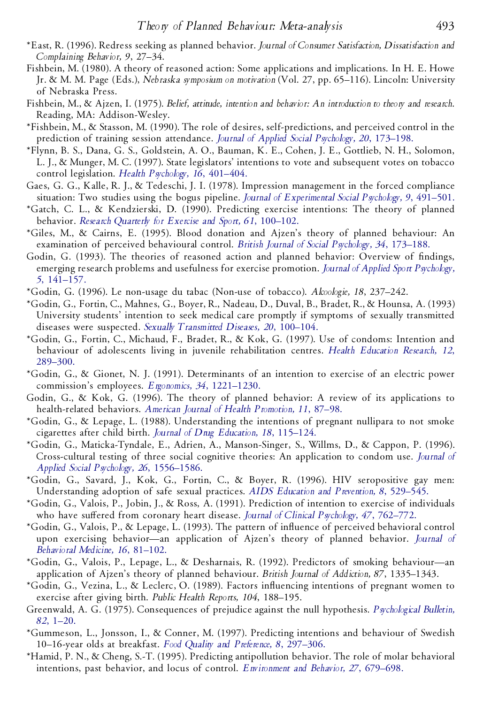- \*East, R. (1996). Redress seeking as planned behavior. *Journal of Consumer Satisfaction, Dissatisfaction and Complaining Behavior, 9*, 27–34.
- Fishbein, M. (1980). A theory of reasoned action: Some applications and implications. In H. E. Howe Jr. & M. M. Page (Eds.), *Nebraska symposium on motivation* (Vol. 27, pp. 65–116). Lincoln: University of Nebraska Press.
- Fishbein, M., & Ajzen, I. (1975). *Belief, attitude, intention and behavior: An introduction to theory and research*. Reading, MA: Addison-Wesley.
- \*Fishbein, M., & Stasson, M. (1990). The role of desires, self-predictions, and perceived control in the prediction of training session attendance. *Journal of Applied Social [Psychology,](http://www.ingentaconnect.com/content/external-references?article=/0021-9029^28^2920L.173[aid=16495]) 20*, 173–198.
- \*Flynn, B. S., Dana, G. S., Goldstein, A. O., Bauman, K. E., Cohen, J. E., Gottlieb, N. H., Solomon, L. J., & Munger, M. C. (1997). State legislators' intentions to vote and subsequent votes on tobacco control legislation. *Health [Psychology,](http://www.ingentaconnect.com/content/external-references?article=/0278-6133^28^2916L.401[aid=1876217]) 16*, 401–404.
- Gaes, G. G., Kalle, R. J., & Tedeschi, J. I. (1978). Impression management in the forced compliance situation: Two studies using the bogus pipeline. *Journal of [Experimental](http://www.ingentaconnect.com/content/external-references?article=/0022-1031^28^299L.491[aid=1876218]) Social Psychology, 9*, 491–501.
- \*Gatch, C. L., & Kendzierski, D. (1990). Predicting exercise intentions: The theory of planned behavior. *Research Quarterly for Exercise and Sport, 61*, [100–102.](http://www.ingentaconnect.com/content/external-references?article=/0270-1367^28^2961L.100[aid=1876219])
- \*Giles, M., & Cairns, E. (1995). Blood donation and Ajzen's theory of planned behaviour: An examination of perceived behavioural control. *British Journal of Social [Psychology,](http://www.ingentaconnect.com/content/external-references?article=/0144-6665^28^2934L.173[aid=1795067]) 34*, 173–188.
- Godin, G. (1993). The theories of reasoned action and planned behavior: Overview of findings, emerging research problems and usefulness for exercise promotion. *Journal of Applied Sport [Psychology,](http://www.ingentaconnect.com/content/external-references?article=/1041-3200^28^295L.141[aid=16984]) 5*, [141–157.](http://www.ingentaconnect.com/content/external-references?article=/1041-3200^28^295L.141[aid=16984])
- \*Godin, G. (1996). Le non-usage du tabac (Non-use of tobacco). *Alcoologie, 18*, 237–242.
- \*Godin, G., Fortin, C., Mahnes, G., Boyer, R., Nadeau, D., Duval, B., Bradet, R., & Hounsa, A. (1993) University students' intention to seek medical care promptly if symptoms of sexually transmitted diseases were suspected. *Sexually [Transmitted](http://www.ingentaconnect.com/content/external-references?article=/0148-5717^28^2920L.100[aid=1876221]) Diseases, 20*, 100–104.
- \*Godin, G., Fortin, C., Michaud, F., Bradet, R., & Kok, G. (1997). Use of condoms: Intention and behaviour of adolescents living in juvenile rehabilitation centres. *Health Ed ucation [Research,](http://www.ingentaconnect.com/content/external-references?article=/0268-1153^28^2912L.289[aid=1876222]) 12*, [289–300.](http://www.ingentaconnect.com/content/external-references?article=/0268-1153^28^2912L.289[aid=1876222])
- \*Godin, G., & Gionet, N. J. (1991). Determinants of an intention to exercise of an electric power commission's employees. *Ergonomics, 34*, [1221–1230.](http://www.ingentaconnect.com/content/external-references?article=/0014-0139^28^2934L.1221[aid=22476])
- Godin, G., & Kok, G. (1996). The theory of planned behavior: A review of its applications to health-related behaviors. *American Journal of Health [Promotion,](http://www.ingentaconnect.com/content/external-references?article=/0890-1171^28^2911L.87[aid=16290]) 11*, 87–98.
- \*Godin, G., & Lepage, L. (1988). Understanding the intentions of pregnant nullipara to not smoke cigarettes after child birth. *Journal of Drug [Education,](http://www.ingentaconnect.com/content/external-references?article=/0047-2379^28^2918L.115[aid=1876223]) 18*, 115–124.
- \*Godin, G., Maticka-Tyndale, E., Adrien, A., Manson-Singer, S., Willms, D., & Cappon, P. (1996). Cross-cultural testing of three social cognitive theories: An application to condom use. *[Journal](http://www.ingentaconnect.com/content/external-references?article=/0021-9029^28^2926L.1556[aid=1876224]) of Applied Social Psychology, 26*, [1556–1586.](http://www.ingentaconnect.com/content/external-references?article=/0021-9029^28^2926L.1556[aid=1876224])
- \*Godin, G., Savard, J., Kok, G., Fortin, C., & Boyer, R. (1996). HIV seropositive gay men: Understanding adoption of safe sexual practices. *AIDS Ed ucation and [Prevention,](http://www.ingentaconnect.com/content/external-references?article=/0899-9546^28^298L.529[aid=1876225]) 8*, 529–545.
- \*Godin, G., Valois, P., Jobin, J., & Ross, A. (1991). Prediction of intention to exercise of individuals who have suffered from coronary heart disease. *Journal of Clinical [Psychology,](http://www.ingentaconnect.com/content/external-references?article=/0021-9762^28^2947L.762[aid=1504089]) 47, 762-772.*
- \*Godin, G., Valois, P., & Lepage, L. (1993). The pattern of in uence of perceived behavioral control upon exercising behavior—an application of Ajzen's theory of planned behavior. *[Journal](http://www.ingentaconnect.com/content/external-references?article=/0160-7715^28^2916L.81[aid=16498]) of [Behavioral](http://www.ingentaconnect.com/content/external-references?article=/0160-7715^28^2916L.81[aid=16498]) Medicine, 16*, 81–102.
- \*Godin, G., Valois, P., Lepage, L., & Desharnais, R. (1992). Predictors of smoking behaviour—an application of Ajzen's theory of planned behaviour. *British Journal of Addiction, 87*, 1335–1343.
- \*Godin, G., Vezina, L., & Leclerc, O. (1989). Factors in uencing intentions of pregnant women to exercise after giving birth. *Public Health Reports, 104*, 188–195.
- Greenwald, A. G. (1975). Consequences of prejudice against the null hypothesis. *[Psychological](http://www.ingentaconnect.com/content/external-references?article=/0033-2909^28^2982L.1[aid=74285]) Bulletin, 82*, [1–20.](http://www.ingentaconnect.com/content/external-references?article=/0033-2909^28^2982L.1[aid=74285])
- \*Gummeson, L., Jonsson, I., & Conner, M. (1997). Predicting intentions and behaviour of Swedish 10–16-year olds at breakfast. *Food Quality and Preference, 8*, [297–306.](http://www.ingentaconnect.com/content/external-references?article=/0950-3293^28^298L.297[aid=1876228])
- \*Hamid, P. N., & Cheng, S.-T. (1995). Predicting antipollution behavior. The role of molar behavioral intentions, past behavior, and locus of control. *[Environment](http://www.ingentaconnect.com/content/external-references?article=/0013-9165^28^2927L.679[aid=1876229]) and Behavior, 27*, 679–698.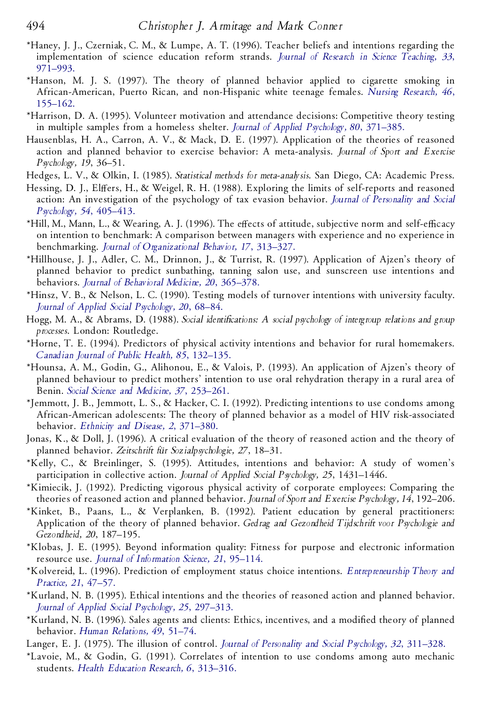- \*Haney, J. J., Czerniak, C. M., & Lumpe, A. T. (1996). Teacher beliefs and intentions regarding the implementation of science education reform strands. *Journal of Research in Science [Teaching,](http://www.ingentaconnect.com/content/external-references?article=/0022-4308^28^2933L.971[aid=1876230]) 33*, [971–993.](http://www.ingentaconnect.com/content/external-references?article=/0022-4308^28^2933L.971[aid=1876230])
- \*Hanson, M. J. S. (1997). The theory of planned behavior applied to cigarette smoking in African-American, Puerto Rican, and non-Hispanic white teenage females. *Nursing [Research,](http://www.ingentaconnect.com/content/external-references?article=/0029-6562^28^2946L.155[aid=1876231]) 46*, [155–162.](http://www.ingentaconnect.com/content/external-references?article=/0029-6562^28^2946L.155[aid=1876231])
- \*Harrison, D. A. (1995). Volunteer motivation and attendance decisions: Competitive theory testing in multiple samples from a homeless shelter. *Journal of Applied [Psychology,](http://www.ingentaconnect.com/content/external-references?article=/0021-9010^28^2980L.371[aid=1413119]) 80*, 371–385.
- Hausenblas, H. A., Carron, A. V., & Mack, D. E. (1997). Application of the theories of reasoned action and planned behavior to exercise behavior: A meta-analysis. *Journal of Sport and Exercise Psychology, 19*, 36–51.
- Hedges, L. V., & Olkin, I. (1985). *Statistical methods for meta-analysis*. San Diego, CA: Academic Press.
- Hessing, D. J., Elffers, H., & Weigel, R. H. (1988). Exploring the limits of self-reports and reasoned action: An investigation of the psychology of tax evasion behavior. *Journal of [Personality](http://www.ingentaconnect.com/content/external-references?article=/0022-3514^28^2954L.405[aid=1876232]) and Social [Psychology,](http://www.ingentaconnect.com/content/external-references?article=/0022-3514^28^2954L.405[aid=1876232]) 54*, 405–413.
- \*Hill, M., Mann, L., & Wearing, A. J. (1996). The effects of attitude, subjective norm and self-efficacy on intention to benchmark: A comparison between managers with experience and no experience in benchmarking. *Journal of [Organizational](http://www.ingentaconnect.com/content/external-references?article=/0894-3796^28^2917L.313[aid=1876233]) Behavior, 17*, 313–327.
- \*Hillhouse, J. J., Adler, C. M., Drinnon, J., & Turrist, R. (1997). Application of Ajzen's theory of planned behavior to predict sunbathing, tanning salon use, and sunscreen use intentions and behaviors. *Journal of [Behavioral](http://www.ingentaconnect.com/content/external-references?article=/0160-7715^28^2920L.365[aid=1876234]) Medicine, 20*, 365–378.
- \*Hinsz, V. B., & Nelson, L. C. (1990). Testing models of turnover intentions with university faculty. *Journal of Applied Social [Psychology,](http://www.ingentaconnect.com/content/external-references?article=/0021-9029^28^2920L.68[aid=1795069]) 20*, 68–84.
- Hogg, M. A., & Abrams, D. (1988). *Social identications: A social psychology of intergroup relations and group processes*. London: Routledge.
- \*Horne, T. E. (1994). Predictors of physical activity intentions and behavior for rural homemakers. *Canadian Journal of Public Health, 85*, [132–135.](http://www.ingentaconnect.com/content/external-references?article=/0008-4263^28^2985L.132[aid=1494340])
- \*Hounsa, A. M., Godin, G., Alihonou, E., & Valois, P. (1993). An application of Ajzen's theory of planned behaviour to predict mothers' intention to use oral rehydration therapy in a rural area of Benin. *Social Science and Medicine, 37*, [253–261.](http://www.ingentaconnect.com/content/external-references?article=/0277-9536^28^2937L.253[aid=22477])
- \*Jemmott, J. B., Jemmott, L. S., & Hacker, C. I. (1992). Predicting intentions to use condoms among African-American adolescents: The theory of planned behavior as a model of HIV risk-associated behavior. *Ethnicity and Disease, 2*, [371–380.](http://www.ingentaconnect.com/content/external-references?article=/1049-510X^28^292L.371[aid=1876235])
- Jonas, K., & Doll, J. (1996). A critical evaluation of the theory of reasoned action and the theory of planned behavior. *Zeitschrift fu¨r Sozialpsychologie, 27*, 18–31.
- \*Kelly, C., & Breinlinger, S. (1995). Attitudes, intentions and behavior: A study of women's participation in collective action. *Journal of Applied Social Psychology, 25*, 1431–1446.
- \*Kimiecik, J. (1992). Predicting vigorous physical activity of corporate employees: Comparing the theories of reasoned action and planned behavior. *Journal of Sport and Exercise Psychology, 14*, 192–206.
- \*Kinket, B., Paans, L., & Verplanken, B. (1992). Patient education by general practitioners: Application of the theory of planned behavior. *Gedrag and Gezondheid Tijdschrift voor Psychologie and Gezondheid, 20*, 187–195.
- \*Klobas, J. E. (1995). Beyond information quality: Fitness for purpose and electronic information resource use. *Journal of [Information](http://www.ingentaconnect.com/content/external-references?article=/0165-5515^28^2921L.95[aid=1876239]) Science, 21*, 95–114.
- \*Kolvereid, L. (1996). Prediction of employment status choice intentions. *[Entrepreneurship](http://www.ingentaconnect.com/content/external-references?article=/1042-2587^28^2921L.47[aid=718454]) Theory and [Practice,](http://www.ingentaconnect.com/content/external-references?article=/1042-2587^28^2921L.47[aid=718454]) 21*, 47–57.
- \*Kurland, N. B. (1995). Ethical intentions and the theories of reasoned action and planned behavior. *Journal of Applied Social [Psychology,](http://www.ingentaconnect.com/content/external-references?article=/0021-9029^28^2925L.297[aid=16505]) 25*, 297–313.
- \*Kurland, N. B. (1996). Sales agents and clients: Ethics, incentives, and a modified theory of planned behavior. *Human [Relations,](http://www.ingentaconnect.com/content/external-references?article=/0018-7267^28^2949L.51[aid=1876240]) 49*, 51–74.
- Langer, E. J. (1975). The illusion of control. *Journal of [Personality](http://www.ingentaconnect.com/content/external-references?article=/0022-3514^28^2932L.311[aid=19158]) and Social Psychology, 32*, 311–328.
- \*Lavoie, M., & Godin, G. (1991). Correlates of intention to use condoms among auto mechanic students. *Health Ed ucation Research, 6*, [313–316.](http://www.ingentaconnect.com/content/external-references?article=/0268-1153^28^296L.313[aid=1876241])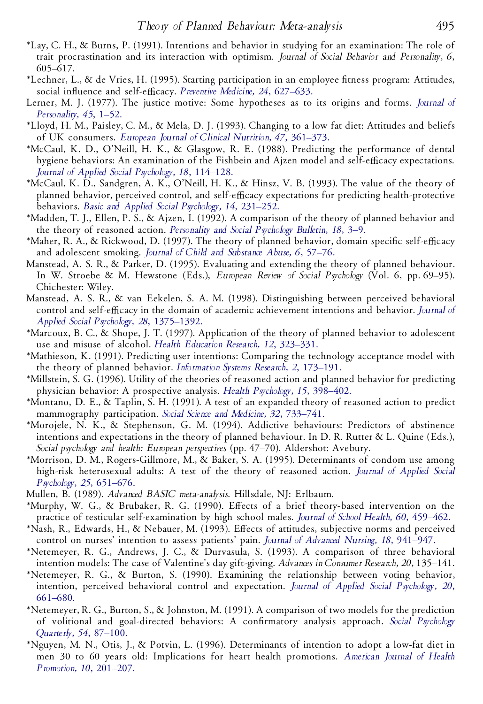- \*Lay, C. H., & Burns, P. (1991). Intentions and behavior in studying for an examination: The role of trait procrastination and its interaction with optimism. *Journal of Social Behavior and Personality, 6*, 605–617.
- \*Lechner, L., & de Vries, H. (1995). Starting participation in an employee tness program: Attitudes, social influence and self-efficacy. *Preventive Medicine*, 24, [627–633.](http://www.ingentaconnect.com/content/external-references?article=/0091-7435^28^2924L.627[aid=1876242])
- Lerner, M. J. (1977). The justice motive: Some hypotheses as to its origins and forms. *[Journal](http://www.ingentaconnect.com/content/external-references?article=/0022-3506^28^2945L.1[aid=137528]) of [Personality,](http://www.ingentaconnect.com/content/external-references?article=/0022-3506^28^2945L.1[aid=137528]) 45*, 1–52.
- \*Lloyd, H. M., Paisley, C. M., & Mela, D. J. (1993). Changing to a low fat diet: Attitudes and beliefs of UK consumers. *European Journal of Clinical [Nutrition,](http://www.ingentaconnect.com/content/external-references?article=/0954-3007^28^2947L.361[aid=1876243]) 47*, 361–373.
- \*McCaul, K. D., O'Neill, H. K., & Glasgow, R. E. (1988). Predicting the performance of dental hygiene behaviors: An examination of the Fishbein and Ajzen model and self-efficacy expectations. *Journal of Applied Social [Psychology,](http://www.ingentaconnect.com/content/external-references?article=/0021-9029^28^2918L.114[aid=1795071]) 18*, 114–128.
- \*McCaul, K. D., Sandgren, A. K., O'Neill, H. K., & Hinsz, V. B. (1993). The value of the theory of planned behavior, perceived control, and self-efficacy expectations for predicting health-protective behaviors. *Basic and Applied Social [Psychology,](http://www.ingentaconnect.com/content/external-references?article=/0197-3533^28^2914L.231[aid=22479]) 14*, 231–252.
- \*Madden, T. J., Ellen, P. S., & Ajzen, I. (1992). A comparison of the theory of planned behavior and the theory of reasoned action. *[Personality](http://www.ingentaconnect.com/content/external-references?article=/0146-1672^28^2918L.3[aid=16541]) and Social Psychology Bulletin, 18*, 3–9.
- \*Maher, R. A., & Rickwood, D. (1997). The theory of planned behavior, domain specific self-efficacy and adolescent smoking. *Journal of Child and [Substance](http://www.ingentaconnect.com/content/external-references?article=/1067-828X^28^296L.57[aid=1876244]) Abuse, 6*, 57–76.
- Manstead, A. S. R., & Parker, D. (1995). Evaluating and extending the theory of planned behaviour. In W. Stroebe & M.Hewstone (Eds.), *European Review of Social Psychology* (Vol. 6, pp. 69–95). Chichester: Wiley.
- Manstead, A. S. R., & van Eekelen, S. A. M. (1998). Distinguishing between perceived behavioral control and self-efficacy in the domain of academic achievement intentions and behavior. *[Journal](http://www.ingentaconnect.com/content/external-references?article=/0021-9029^28^2928L.1375[aid=22478]) of Applied Social Psychology, 28*, [1375–1392.](http://www.ingentaconnect.com/content/external-references?article=/0021-9029^28^2928L.1375[aid=22478])
- \*Marcoux, B. C., & Shope, J. T. (1997). Application of the theory of planned behavior to adolescent use and misuse of alcohol. *Health Ed ucation Research, 12*, [323–331.](http://www.ingentaconnect.com/content/external-references?article=/0268-1153^28^2912L.323[aid=1876245])
- \*Mathieson, K. (1991). Predicting user intentions: Comparing the technology acceptance model with the theory of planned behavior. *[Information](http://www.ingentaconnect.com/content/external-references?article=/1047-7047^28^292L.173[aid=1876246]) Systems Research, 2*, 173–191.
- \*Millstein, S. G. (1996). Utility of the theories of reasoned action and planned behavior for predicting physician behavior: A prospective analysis. *Health [Psychology,](http://www.ingentaconnect.com/content/external-references?article=/0278-6133^28^2915L.398[aid=1876247]) 15*, 398–402.
- \*Montano, D. E., & Taplin, S. H. (1991). A test of an expanded theory of reasoned action to predict mammography participation. *Social Science and Medicine, 32*, [733–741.](http://www.ingentaconnect.com/content/external-references?article=/0277-9536^28^2932L.733[aid=1280336])
- \*Morojele, N. K., & Stephenson, G. M. (1994). Addictive behaviours: Predictors of abstinence intentions and expectations in the theory of planned behaviour. In D. R. Rutter & L. Quine (Eds.), *Social psychology and health: European perspectives* (pp. 47–70). Aldershot: Avebury.
- \*Morrison, D. M., Rogers-Gillmore, M., & Baker, S. A. (1995). Determinants of condom use among high-risk heterosexual adults: A test of the theory of reasoned action. *Journal of [Applied](http://www.ingentaconnect.com/content/external-references?article=/0021-9029^28^2925L.651[aid=767351]) Social [Psychology,](http://www.ingentaconnect.com/content/external-references?article=/0021-9029^28^2925L.651[aid=767351]) 25*, 651–676.
- Mullen, B. (1989). *Advanced BASIC meta-analysis*. Hillsdale, NJ: Erlbaum.
- \*Murphy, W. G., & Brubaker, R. G. (1990). Effects of a brief theory-based intervention on the practice of testicular self-examination by high school males. *Journal of School Health, 60*, [459–462.](http://www.ingentaconnect.com/content/external-references?article=/0022-4391^28^2960L.459[aid=1876248])
- \*Nash, R., Edwards, H., & Nebauer, M. (1993). Effects of attitudes, subjective norms and perceived control on nurses' intention to assess patients' pain. *Journal of Advanced Nursing, 18*, [941–947.](http://www.ingentaconnect.com/content/external-references?article=/0309-2402^28^2918L.941[aid=1876249])
- \*Netemeyer, R. G., Andrews, J. C., & Durvasula, S. (1993). A comparison of three behavioral intention models: The case of Valentine's day gift-giving. *Advances in Consumer Research, 20*, 135–141.
- \*Netemeyer, R. G., & Burton, S. (1990). Examining the relationship between voting behavior, intention, perceived behavioral control and expectation. *Journal of Applied Social [Psychology,](http://www.ingentaconnect.com/content/external-references?article=/0021-9029^28^2920L.661[aid=1876251]) 20*, [661–680.](http://www.ingentaconnect.com/content/external-references?article=/0021-9029^28^2920L.661[aid=1876251])
- \*Netemeyer, R. G., Burton, S., & Johnston, M. (1991). A comparison of two models for the prediction of volitional and goal-directed behaviors: A conrmatory analysis approach. *Social [Psychology](http://www.ingentaconnect.com/content/external-references?article=/0190-2725^28^2954L.87[aid=860946]) [Quarterly,](http://www.ingentaconnect.com/content/external-references?article=/0190-2725^28^2954L.87[aid=860946]) 54*, 87–100.
- \*Nguyen, M. N., Otis, J., & Potvin, L. (1996). Determinants of intention to adopt a low-fat diet in men 30 to 60 years old: Implications for heart health promotions. *[American](http://www.ingentaconnect.com/content/external-references?article=/0890-1171^28^2910L.201[aid=22480]) Journal of Health [Promotion,](http://www.ingentaconnect.com/content/external-references?article=/0890-1171^28^2910L.201[aid=22480]) 10*, 201–207.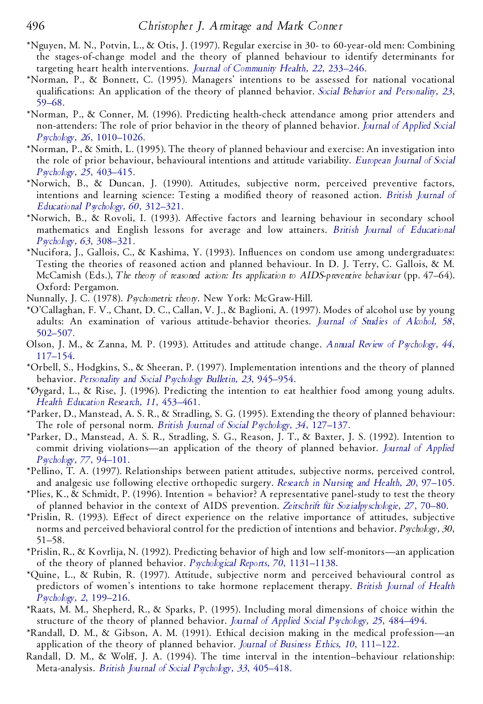- \*Nguyen, M. N., Potvin, L., & Otis, J. (1997). Regular exercise in 30- to 60-year-old men: Combining the stages-of-change model and the theory of planned behaviour to identify determinants for targeting heart health interventions. *Journal of [Community](http://www.ingentaconnect.com/content/external-references?article=/0094-5145^28^2922L.233[aid=1163582]) Health, 22*, 233–246.
- \*Norman, P., & Bonnett, C. (1995). Managers' intentions to be assessed for national vocational quali cations: An application of the theory of planned behavior. *Social Behavior and [Personality,](http://www.ingentaconnect.com/content/external-references?article=/0301-2212^28^2923L.59[aid=1876252]) 23*, [59–68.](http://www.ingentaconnect.com/content/external-references?article=/0301-2212^28^2923L.59[aid=1876252])
- \*Norman, P., & Conner, M. (1996). Predicting health-check attendance among prior attenders and non-attenders: The role of prior behavior in the theory of planned behavior. *Journal of [Applied](http://www.ingentaconnect.com/content/external-references?article=/0021-9029^28^2926L.1010[aid=17126]) Social Psychology, 26*, [1010–1026.](http://www.ingentaconnect.com/content/external-references?article=/0021-9029^28^2926L.1010[aid=17126])
- \*Norman, P., & Smith, L. (1995). The theory of planned behaviour and exercise: An investigation into the role of prior behaviour, behavioural intentions and attitude variability. *[European](http://www.ingentaconnect.com/content/external-references?article=/0046-2772^28^2925L.403[aid=23323]) Journal of Social [Psychology,](http://www.ingentaconnect.com/content/external-references?article=/0046-2772^28^2925L.403[aid=23323]) 25*, 403–415.
- \*Norwich, B., & Duncan, J. (1990). Attitudes, subjective norm, perceived preventive factors, intentions and learning science: Testing a modified theory of reasoned action. *British [Journal](http://www.ingentaconnect.com/content/external-references?article=/0007-0998^28^2960L.312[aid=1876253]) of Ed ucational [Psychology,](http://www.ingentaconnect.com/content/external-references?article=/0007-0998^28^2960L.312[aid=1876253]) 60*, 312–321.
- \*Norwich, B., & Rovoli, I. (1993). Affective factors and learning behaviour in secondary school mathematics and English lessons for average and low attainers. *British Journal of Ed [ucational](http://www.ingentaconnect.com/content/external-references?article=/0007-0998^28^2963L.308[aid=1876254]) [Psychology,](http://www.ingentaconnect.com/content/external-references?article=/0007-0998^28^2963L.308[aid=1876254]) 63*, 308–321.
- \*Nucifora, J., Gallois, C., & Kashima, Y. (1993). Influences on condom use among undergraduates: Testing the theories of reasoned action and planned behaviour. In D. J. Terry, C. Gallois, & M. McCamish (Eds.), *The theory of reasoned action: Its application to AIDS-preventive behaviour* (pp. 47–64). Oxford: Pergamon.
- Nunnally, J. C. (1978). *Psychometric theory*. New York: McGraw-Hill.
- \*O'Callaghan, F. V., Chant, D. C., Callan, V. J., & Baglioni, A. (1997). Modes of alcohol use by young adults: An examination of various attitude-behavior theories. *Journal of Studies of [Alcohol,](http://www.ingentaconnect.com/content/external-references?article=/0096-882X^28^2958L.502[aid=1876255]) 58*, [502–507.](http://www.ingentaconnect.com/content/external-references?article=/0096-882X^28^2958L.502[aid=1876255])
- Olson, J. M., & Zanna, M. P. (1993). Attitudes and attitude change. *Annual Review [ofPsychology,](http://www.ingentaconnect.com/content/external-references?article=/0066-4308^28^2944L.117[aid=23110]) 44*, [117–154.](http://www.ingentaconnect.com/content/external-references?article=/0066-4308^28^2944L.117[aid=23110])
- \*Orbell, S., Hodgkins, S., & Sheeran, P. (1997). Implementation intentions and the theory of planned behavior. *[Personality](http://www.ingentaconnect.com/content/external-references?article=/0146-1672^28^2923L.945[aid=23111]) and Social Psychology Bulletin, 23*, 945–954.
- \*Øygard, L., & Rise, J. (1996). Predicting the intention to eat healthier food among young adults. *Health Ed ucation Research, 11*, [453–461.](http://www.ingentaconnect.com/content/external-references?article=/0268-1153^28^2911L.453[aid=1275072])
- \*Parker, D., Manstead, A. S. R., & Stradling, S. G. (1995). Extending the theory of planned behaviour: The role of personal norm. *British Journal of Social [Psychology,](http://www.ingentaconnect.com/content/external-references?article=/0144-6665^28^2934L.127[aid=16511]) 34*, 127–137.
- \*Parker, D., Manstead, A. S. R., Stradling, S. G., Reason, J. T., & Baxter, J. S. (1992). Intention to commit driving violations—an application of the theory of planned behavior. *Journal of [Applied](http://www.ingentaconnect.com/content/external-references?article=/0021-9010^28^2977L.94[aid=291661]) [Psychology,](http://www.ingentaconnect.com/content/external-references?article=/0021-9010^28^2977L.94[aid=291661]) 77*, 94–101.
- \*Pellino, T. A. (1997). Relationships between patient attitudes, subjective norms, perceived control, and analgesic use following elective orthopedic surgery. *Research in Nursing and Health, 20*, [97–105.](http://www.ingentaconnect.com/content/external-references?article=/0160-6891^28^2920L.97[aid=1876256])
- \*Plies, K., & Schmidt, P. (1996). Intention = behavior? A representative panel-study to test the theory of planned behavior in the context of AIDS prevention. *Zeitschrift fu¨r [Sozialpyschologie,](http://www.ingentaconnect.com/content/external-references?article=/0044-3514^28^2927L.70[aid=1876257]) 27*, 70–80.
- \*Prislin, R. (1993). Effect of direct experience on the relative importance of attitudes, subjective norms and perceived behavioral control for the prediction of intentions and behavior. *Psychology, 30*, 51–58.
- \*Prislin, R., & Kovrlija, N. (1992). Predicting behavior of high and low self-monitors—an application of the theory of planned behavior. *Psychological Reports, 70*, [1131–1138.](http://www.ingentaconnect.com/content/external-references?article=/0033-2941^28^2970L.1131[aid=1876259])
- \*Quine, L., & Rubin, R. (1997). Attitude, subjective norm and perceived behavioural control as predictors of women's intentions to take hormone replacement therapy. *British [Journal](http://www.ingentaconnect.com/content/external-references?article=/1359-107X^28^292L.199[aid=23547]) of Health [Psychology,](http://www.ingentaconnect.com/content/external-references?article=/1359-107X^28^292L.199[aid=23547]) 2*, 199–216.
- \*Raats, M. M., Shepherd, R., & Sparks, P. (1995). Including moral dimensions of choice within the structure of the theory of planned behavior. *Journal of Applied Social [Psychology,](http://www.ingentaconnect.com/content/external-references?article=/0021-9029^28^2925L.484[aid=16513]) 25*, 484–494.
- \*Randall, D. M., & Gibson, A. M. (1991). Ethical decision making in the medical profession—an application of the theory of planned behavior. *Journal of Business Ethics, 10*, [111–122.](http://www.ingentaconnect.com/content/external-references?article=/0167-4544^28^2910L.111[aid=16515])
- Randall, D. M., & Wolff, J. A. (1994). The time interval in the intention-behaviour relationship: Meta-analysis. *British Journal of Social [Psychology,](http://www.ingentaconnect.com/content/external-references?article=/0144-6665^28^2933L.405[aid=16293]) 33*, 405–418.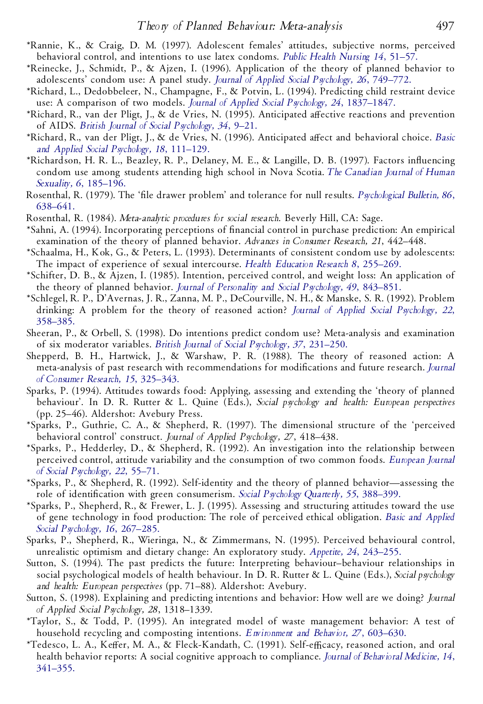- \*Rannie, K., & Craig, D. M. (1997). Adolescent females' attitudes, subjective norms, perceived behavioral control, and intentions to use latex condoms. *Public Health [Nursing](http://www.ingentaconnect.com/content/external-references?article=/0737-1209^28^2914L.51[aid=1876260]) 14*, 51–57.
- \*Reinecke, J., Schmidt, P., & Ajzen, I. (1996). Application of the theory of planned behavior to adolescents' condom use: A panel study. *Journal of Applied Social [Psychology,](http://www.ingentaconnect.com/content/external-references?article=/0021-9029^28^2926L.749[aid=1876261]) 26*, 749–772.
- \*Richard, L., Dedobbeleer, N., Champagne, F., & Potvin, L. (1994). Predicting child restraint device use: A comparison of two models. *Journal of Applied Social Psychology, 24*, [1837–1847.](http://www.ingentaconnect.com/content/external-references?article=/0021-9029^28^2924L.1837[aid=1876262])
- \*Richard, R., van der Pligt, J., & de Vries, N. (1995). Anticipated affective reactions and prevention of AIDS. *British Journal of Social [Psychology,](http://www.ingentaconnect.com/content/external-references?article=/0144-6665^28^2934L.9[aid=17020]) 34*, 9–21.
- \*Richard, R., van der Pligt, J., & de Vries, N. (1996). Anticipated aVect and behavioral choice. *[Basic](http://www.ingentaconnect.com/content/external-references?article=/0197-3533^28^2918L.111[aid=16516]) and Applied Social [Psychology,](http://www.ingentaconnect.com/content/external-references?article=/0197-3533^28^2918L.111[aid=16516]) 18*, 111–129.
- \*Richardson, H. R. L., Beazley, R. P., Delaney, M. E., & Langille, D. B. (1997). Factors in uencing condom use among students attending high school in Nova Scotia. *The [Canadian](http://www.ingentaconnect.com/content/external-references?article=/1188-4517^28^296L.185[aid=1876263]) Journal of Human Sexuality, 6*, [185–196.](http://www.ingentaconnect.com/content/external-references?article=/1188-4517^28^296L.185[aid=1876263])
- Rosenthal, R. (1979). The 'file drawer problem' and tolerance for null results. *[Psychological](http://www.ingentaconnect.com/content/external-references?article=/0033-2909^28^2986L.638[aid=73446]) Bulletin*, 86, [638–641.](http://www.ingentaconnect.com/content/external-references?article=/0033-2909^28^2986L.638[aid=73446])
- Rosenthal, R. (1984). *Meta-analytic procedures for social research*. Beverly Hill, CA: Sage.
- \*Sahni, A. (1994). Incorporating perceptions of nancial control in purchase prediction: An empirical examination of the theory of planned behavior. *Advances in Consumer Research, 21*, 442–448.
- \*Schaalma, H., Kok, G., & Peters, L. (1993). Determinants of consistent condom use by adolescents: The impact of experience of sexual intercourse. *Health Ed ucation Research 8*, [255–269.](http://www.ingentaconnect.com/content/external-references?article=/0268-1153^28^298L.255[aid=16294])
- \*Schifter, D. B., & Ajzen, I. (1985). Intention, perceived control, and weight loss: An application of the theory of planned behavior. *Journal of [Personality](http://www.ingentaconnect.com/content/external-references?article=/0022-3514^28^2949L.843[aid=356860]) and Social Psychology, 49*, 843–851.
- \*Schlegel, R. P., D'Avernas, J. R., Zanna, M. P., DeCourville, N. H., & Manske, S. R. (1992). Problem drinking: A problem for the theory of reasoned action? *Journal of Applied Social [Psychology,](http://www.ingentaconnect.com/content/external-references?article=/0021-9029^28^2922L.358[aid=16519]) 22*, [358–385.](http://www.ingentaconnect.com/content/external-references?article=/0021-9029^28^2922L.358[aid=16519])
- Sheeran, P., & Orbell, S. (1998). Do intentions predict condom use? Meta-analysis and examination of six moderator variables. *British Journal of Social [Psychology,](http://www.ingentaconnect.com/content/external-references?article=/0144-6665^28^2937L.231[aid=17132]) 37*, 231–250.
- Shepperd, B. H., Hartwick, J., & Warshaw, P. R. (1988). The theory of reasoned action: A meta-analysis of past research with recommendations for modifications and future research. *[Journal](http://www.ingentaconnect.com/content/external-references?article=/0093-5301^28^2915L.325[aid=16295]) of Consumer Research, 15*, [325–343.](http://www.ingentaconnect.com/content/external-references?article=/0093-5301^28^2915L.325[aid=16295])
- Sparks, P. (1994). Attitudes towards food: Applying, assessing and extending the 'theory of planned behaviour'. In D. R. Rutter & L. Quine (Eds.), *Social psychology and health: European perspectives* (pp. 25–46). Aldershot: Avebury Press.
- \*Sparks, P., Guthrie, C. A., & Shepherd, R. (1997). The dimensional structure of the 'perceived behavioral control' construct. *Journal of Applied Psychology, 27*, 418–438.
- \*Sparks, P., Hedderley, D., & Shepherd, R. (1992). An investigation into the relationship between perceived control, attitude variability and the consumption of two common foods. *[European](http://www.ingentaconnect.com/content/external-references?article=/0046-2772^28^2922L.55[aid=22483]) Journal of Social [Psychology,](http://www.ingentaconnect.com/content/external-references?article=/0046-2772^28^2922L.55[aid=22483]) 22*, 55–71.
- \*Sparks, P., & Shepherd, R. (1992). Self-identity and the theory of planned behavior—assessing the role of identification with green consumerism. *Social [Psychology](http://www.ingentaconnect.com/content/external-references?article=/0190-2725^28^2955L.388[aid=16298]) Quarterly*, 55, 388–399.
- \*Sparks, P., Shepherd, R., & Frewer, L. J. (1995). Assessing and structuring attitudes toward the use of gene technology in food production: The role of perceived ethical obligation. *Basic and [Applied](http://www.ingentaconnect.com/content/external-references?article=/0197-3533^28^2916L.267[aid=1876266]) Social [Psychology,](http://www.ingentaconnect.com/content/external-references?article=/0197-3533^28^2916L.267[aid=1876266]) 16*, 267–285.
- Sparks, P., Shepherd, R., Wieringa, N., & Zimmermans, N. (1995). Perceived behavioural control, unrealistic optimism and dietary change: An exploratory study. *Appetite, 24*, [243–255.](http://www.ingentaconnect.com/content/external-references?article=/0195-6663^28^2924L.243[aid=16522])
- Sutton, S. (1994). The past predicts the future: Interpreting behaviour–behaviour relationships in social psychological models of health behaviour. In D. R. Rutter & L. Quine (Eds.), *Social psychology and health: European perspectives* (pp. 71–88). Aldershot: Avebury.
- Sutton, S. (1998). Explaining and predicting intentions and behavior: How well are we doing? *Journal of Applied Social Psychology, 28*, 1318–1339.
- \*Taylor, S., & Todd, P. (1995). An integrated model of waste management behavior: A test of household recycling and composting intentions. *[Environment](http://www.ingentaconnect.com/content/external-references?article=/0013-9165^28^2927L.603[aid=1876268]) and Behavior, 27*, 603–630.
- \*Tedesco, L. A., Keffer, M. A., & Fleck-Kandath, C. (1991). Self-efficacy, reasoned action, and oral health behavior reports: A social cognitive approach to compliance. *Journal of [Behavioral](http://www.ingentaconnect.com/content/external-references?article=/0160-7715^28^2914L.341[aid=1876269]) Medicine, 14*, [341–355.](http://www.ingentaconnect.com/content/external-references?article=/0160-7715^28^2914L.341[aid=1876269])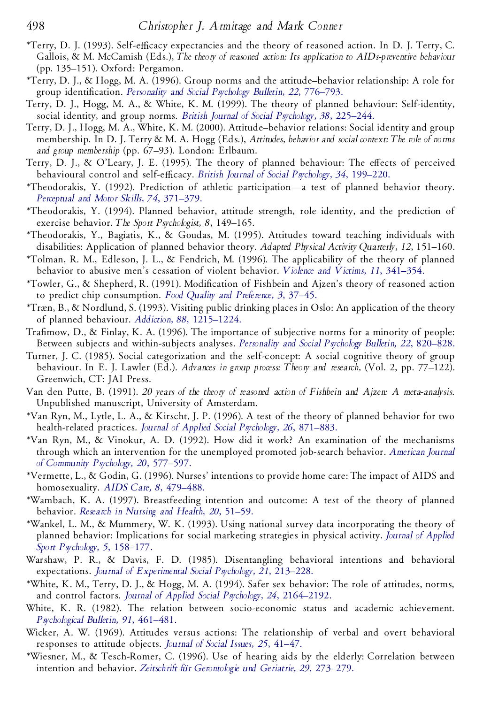- \*Terry, D. J. (1993). Self-eYcacy expectancies and the theory of reasoned action. In D. J. Terry, C. Gallois, & M. McCamish (Eds.), *The theory of reasoned action: Its application to AIDs-preventive behaviour* (pp. 135–151). Oxford: Pergamon.
- \*Terry, D. J., & Hogg, M. A. (1996). Group norms and the attitude–behavior relationship: A role for group identification. *[Personality](http://www.ingentaconnect.com/content/external-references?article=/0146-1672^28^2922L.776[aid=16299])* and *Social Psychology Bulletin,* 22, 776–793.
- Terry, D. J., Hogg, M. A., & White, K. M. (1999). The theory of planned behaviour: Self-identity, social identity, and group norms. *British Journal of Social [Psychology,](http://www.ingentaconnect.com/content/external-references?article=/0144-6665^28^2938L.225[aid=1876270]) 38*, 225–244.
- Terry, D. J., Hogg, M. A., White, K. M. (2000). Attitude–behavior relations: Social identity and group membership. In D. J. Terry & M. A. Hogg (Eds.), *Attitudes, behavior and social context: The role of norms and group membership* (pp. 67–93). London: Erlbaum.
- Terry, D. J., & O'Leary, J. E. (1995). The theory of planned behaviour: The effects of perceived behavioural control and self-eYcacy. *British Journal of Social [Psychology,](http://www.ingentaconnect.com/content/external-references?article=/0144-6665^28^2934L.199[aid=16300]) 34*, 199–220.
- \*Theodorakis, Y. (1992). Prediction of athletic participation—a test of planned behavior theory. *Perceptual and Motor Skills, 74*, [371–379.](http://www.ingentaconnect.com/content/external-references?article=/0031-5125^28^2974L.371[aid=1876271])
- \*Theodorakis, Y. (1994). Planned behavior, attitude strength, role identity, and the prediction of exercise behavior. *The Sport Psychologist, 8*, 149–165.
- \*Theodorakis, Y., Bagiatis, K., & Goudas, M. (1995). Attitudes toward teaching individuals with disabilities: Application of planned behavior theory. *Ad apted Physical Activity Quarterly, 12*, 151–160.
- \*Tolman, R. M., Edleson, J. L., & Fendrich, M. (1996). The applicability of the theory of planned behavior to abusive men's cessation of violent behavior. *Violence and Victims, 11*, [341–354.](http://www.ingentaconnect.com/content/external-references?article=/0886-6708^28^2911L.341[aid=1281774])
- \*Towler, G., & Shepherd, R. (1991). Modi cation of Fishbein and Ajzen's theory of reasoned action to predict chip consumption. *Food Quality and [Preference,](http://www.ingentaconnect.com/content/external-references?article=/0950-3293^28^293L.37[aid=16526]) 3*, 37–45.
- \*Træn, B., & Nordlund, S. (1993). Visiting public drinking places in Oslo: An application of the theory of planned behaviour. *Addiction, 88*, [1215–1224.](http://www.ingentaconnect.com/content/external-references?article=/0965-2140^28^2988L.1215[aid=1876273])
- Trafimow, D., & Finlay, K. A. (1996). The importance of subjective norms for a minority of people: Between subjects and within-subjects analyses. *[Personality](http://www.ingentaconnect.com/content/external-references?article=/0146-1672^28^2922L.820[aid=16546]) and Social Psychology Bulletin, 22*, 820–828.
- Turner, J. C. (1985). Social categorization and the self-concept: A social cognitive theory of group behaviour. In E. J. Lawler (Ed.). *Advances in group process: Theory and research,* (Vol. 2, pp. 77–122). Greenwich, CT: JAI Press.
- Van den Putte, B. (1991). *20 years of the theory of reasoned action of Fishbein and Ajzen: A meta-analysis*. Unpublished manuscript, University of Amsterdam.
- \*Van Ryn, M., Lytle, L. A., & Kirscht, J. P. (1996). A test of the theory of planned behavior for two health-related practices. *Journal of Applied Social [Psychology,](http://www.ingentaconnect.com/content/external-references?article=/0021-9029^28^2926L.871[aid=17137]) 26*, 871–883.
- \*Van Ryn, M., & Vinokur, A. D. (1992). How did it work? An examination of the mechanisms through which an intervention for the unemployed promoted job-search behavior. *[American](http://www.ingentaconnect.com/content/external-references?article=/0091-0562^28^2920L.577[aid=1504098]) Journal of [Community](http://www.ingentaconnect.com/content/external-references?article=/0091-0562^28^2920L.577[aid=1504098]) Psychology, 20*, 577–597.
- \*Vermette, L., & Godin, G. (1996). Nurses' intentions to provide home care: The impact of AIDS and homosexuality. *AIDS Care, 8*, [479–488.](http://www.ingentaconnect.com/content/external-references?article=/0954-0121^28^298L.479[aid=1876274])
- \*Wambach, K. A. (1997). Breastfeeding intention and outcome: A test of the theory of planned behavior. *[Research](http://www.ingentaconnect.com/content/external-references?article=/0160-6891^28^2920L.51[aid=1876275]) in Nursing and Health, 20*, 51–59.
- \*Wankel, L. M., & Mummery, W. K. (1993). Using national survey data incorporating the theory of planned behavior: Implications for social marketing strategies in physical activity. *Journal of [Applied](http://www.ingentaconnect.com/content/external-references?article=/1041-3200^28^295L.158[aid=832365]) Sport [Psychology,](http://www.ingentaconnect.com/content/external-references?article=/1041-3200^28^295L.158[aid=832365]) 5*, 158–177.
- Warshaw, P. R., & Davis, F. D. (1985). Disentangling behavioral intentions and behavioral expectations. *Journal of [Experimental](http://www.ingentaconnect.com/content/external-references?article=/0022-1031^28^2921L.213[aid=23311]) Social Psychology, 21*, 213–228.
- \*White, K. M., Terry, D. J., & Hogg, M. A. (1994). Safer sex behavior: The role of attitudes, norms, and control factors. *Journal of Applied Social Psychology, 24*, [2164–2192.](http://www.ingentaconnect.com/content/external-references?article=/0021-9029^28^2924L.2164[aid=16304])
- White, K. R. (1982). The relation between socio-economic status and academic achievement. *[Psychological](http://www.ingentaconnect.com/content/external-references?article=/0033-2909^28^2991L.461[aid=19712]) Bulletin, 91*, 461–481.
- Wicker, A. W. (1969). Attitudes versus actions: The relationship of verbal and overt behavioral responses to attitude objects. *Journal of Social Issues, 25*, [41–47.](http://www.ingentaconnect.com/content/external-references?article=/0022-4537^28^2925L.41[aid=16548])
- \*Wiesner, M., & Tesch-Romer, C. (1996). Use of hearing aids by the elderly: Correlation between intention and behavior. *Zeitschrift fu¨r [Gerontologie](http://www.ingentaconnect.com/content/external-references?article=/0948-6704^28^2929L.273[aid=1876276]) und Geriatrie, 29*, 273–279.